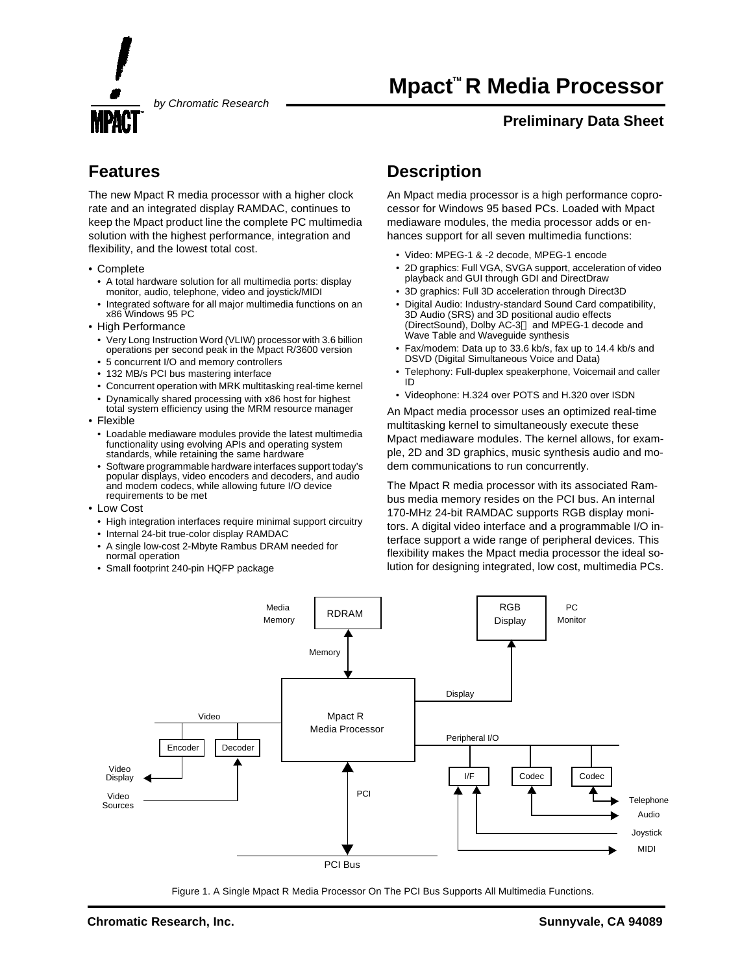by Chromatic Research

# **Mpact<sup>™</sup>R Media Processor**

### **Preliminary Data Sheet**

## **Features**

The new Mpact R media processor with a higher clock rate and an integrated display RAMDAC, continues to keep the Mpact product line the complete PC multimedia solution with the highest performance, integration and flexibility, and the lowest total cost.

- Complete
	- A total hardware solution for all multimedia ports: display monitor, audio, telephone, video and joystick/MIDI
	- Integrated software for all major multimedia functions on an x86 Windows 95 PC
- High Performance
	- Very Long Instruction Word (VLIW) processor with 3.6 billion operations per second peak in the Mpact R/3600 version
	- 5 concurrent I/O and memory controllers
	- 132 MB/s PCI bus mastering interface
	- Concurrent operation with MRK multitasking real-time kernel
	- Dynamically shared processing with x86 host for highest
- total system efficiency using the MRM resource manager • Flexible
	- Loadable mediaware modules provide the latest multimedia functionality using evolving APIs and operating system standards, while retaining the same hardware
	- Software programmable hardware interfaces support today's popular displays, video encoders and decoders, and audio and modem codecs, while allowing future I/O device requirements to be met
- Low Cost
	- High integration interfaces require minimal support circuitry
	- Internal 24-bit true-color display RAMDAC
	- A single low-cost 2-Mbyte Rambus DRAM needed for normal operation
	- Small footprint 240-pin HQFP package

## **Description**

An Mpact media processor is a high performance coprocessor for Windows 95 based PCs. Loaded with Mpact mediaware modules, the media processor adds or enhances support for all seven multimedia functions:

- Video: MPEG-1 & -2 decode, MPEG-1 encode
- 2D graphics: Full VGA, SVGA support, acceleration of video playback and GUI through GDI and DirectDraw
- 3D graphics: Full 3D acceleration through Direct3D
- Digital Audio: Industry-standard Sound Card compatibility, 3D Audio (SRS) and 3D positional audio effects (DirectSound), Dolby AC-3™ and MPEG-1 decode and Wave Table and Waveguide synthesis
- Fax/modem: Data up to 33.6 kb/s, fax up to 14.4 kb/s and DSVD (Digital Simultaneous Voice and Data)
- Telephony: Full-duplex speakerphone, Voicemail and caller ID
- Videophone: H.324 over POTS and H.320 over ISDN

An Mpact media processor uses an optimized real-time multitasking kernel to simultaneously execute these Mpact mediaware modules. The kernel allows, for example, 2D and 3D graphics, music synthesis audio and modem communications to run concurrently.

The Mpact R media processor with its associated Rambus media memory resides on the PCI bus. An internal 170-MHz 24-bit RAMDAC supports RGB display monitors. A digital video interface and a programmable I/O interface support a wide range of peripheral devices. This flexibility makes the Mpact media processor the ideal solution for designing integrated, low cost, multimedia PCs.



Figure 1. A Single Mpact R Media Processor On The PCI Bus Supports All Multimedia Functions.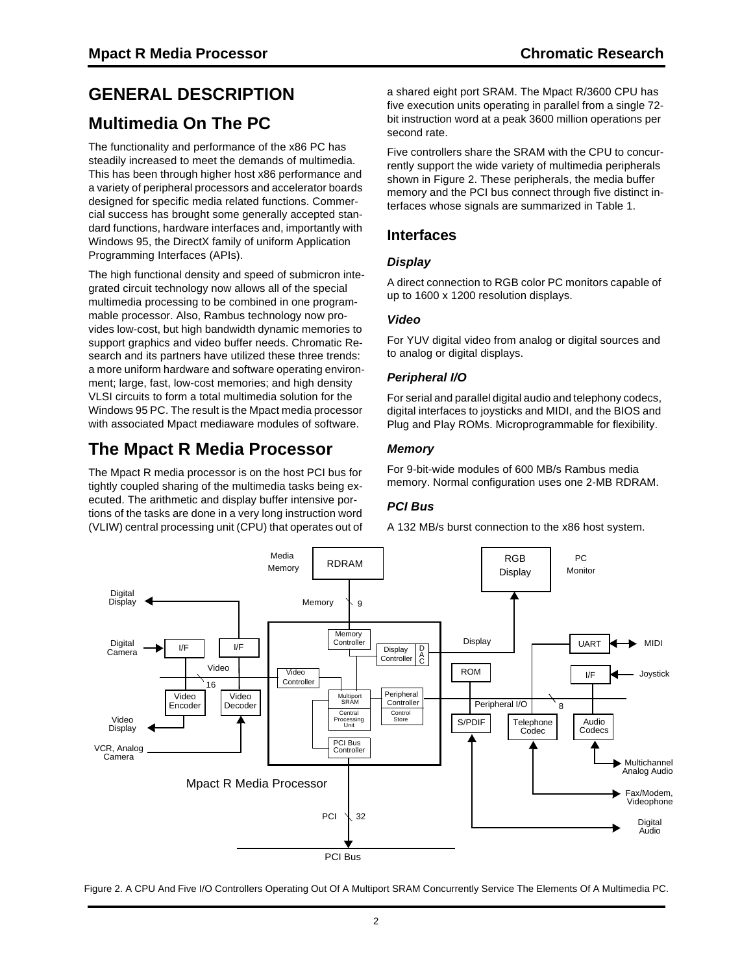# **GENERAL DESCRIPTION**

## **Multimedia On The PC**

The functionality and performance of the x86 PC has steadily increased to meet the demands of multimedia. This has been through higher host x86 performance and a variety of peripheral processors and accelerator boards designed for specific media related functions. Commercial success has brought some generally accepted standard functions, hardware interfaces and, importantly with Windows 95, the DirectX family of uniform Application Programming Interfaces (APIs).

The high functional density and speed of submicron integrated circuit technology now allows all of the special multimedia processing to be combined in one programmable processor. Also, Rambus technology now provides low-cost, but high bandwidth dynamic memories to support graphics and video buffer needs. Chromatic Research and its partners have utilized these three trends: a more uniform hardware and software operating environment; large, fast, low-cost memories; and high density VLSI circuits to form a total multimedia solution for the Windows 95 PC. The result is the Mpact media processor with associated Mpact mediaware modules of software.

## **The Mpact R Media Processor**

The Mpact R media processor is on the host PCI bus for tightly coupled sharing of the multimedia tasks being executed. The arithmetic and display buffer intensive portions of the tasks are done in a very long instruction word (VLIW) central processing unit (CPU) that operates out of a shared eight port SRAM. The Mpact R/3600 CPU has five execution units operating in parallel from a single 72 bit instruction word at a peak 3600 million operations per second rate.

Five controllers share the SRAM with the CPU to concurrently support the wide variety of multimedia peripherals shown in Figure 2. These peripherals, the media buffer memory and the PCI bus connect through five distinct interfaces whose signals are summarized in Table 1.

### **Interfaces**

### **Display**

A direct connection to RGB color PC monitors capable of up to 1600 x 1200 resolution displays.

### **Video**

For YUV digital video from analog or digital sources and to analog or digital displays.

### **Peripheral I/O**

For serial and parallel digital audio and telephony codecs, digital interfaces to joysticks and MIDI, and the BIOS and Plug and Play ROMs. Microprogrammable for flexibility.

### **Memory**

For 9-bit-wide modules of 600 MB/s Rambus media memory. Normal configuration uses one 2-MB RDRAM.

### **PCI Bus**

A 132 MB/s burst connection to the x86 host system.



Figure 2. A CPU And Five I/O Controllers Operating Out Of A Multiport SRAM Concurrently Service The Elements Of A Multimedia PC.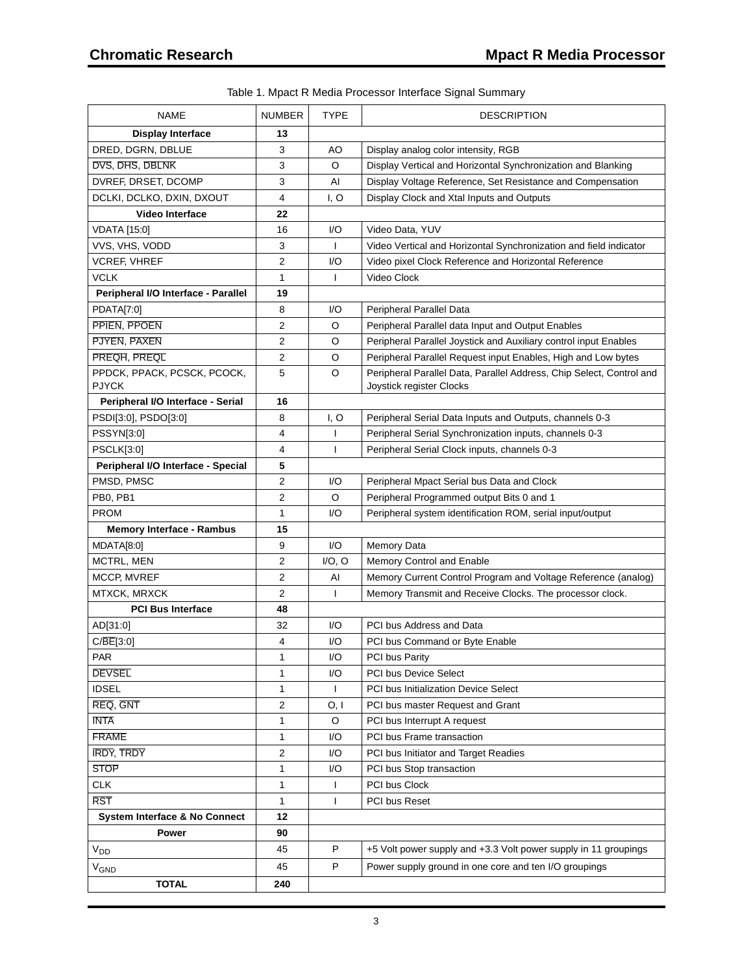|  |  |  | Table 1. Mpact R Media Processor Interface Signal Summary |  |  |  |
|--|--|--|-----------------------------------------------------------|--|--|--|
|--|--|--|-----------------------------------------------------------|--|--|--|

| <b>NAME</b>                         | <b>NUMBER</b>  | <b>TYPE</b>  | <b>DESCRIPTION</b>                                                   |
|-------------------------------------|----------------|--------------|----------------------------------------------------------------------|
| <b>Display Interface</b>            | 13             |              |                                                                      |
| DRED, DGRN, DBLUE                   | 3              | AO           | Display analog color intensity, RGB                                  |
| DVS, DHS, DBLNK                     | 3              | O            | Display Vertical and Horizontal Synchronization and Blanking         |
| DVREF, DRSET, DCOMP                 | 3              | AI           | Display Voltage Reference, Set Resistance and Compensation           |
| DCLKI, DCLKO, DXIN, DXOUT           | 4              | I, O         | Display Clock and Xtal Inputs and Outputs                            |
| Video Interface                     | 22             |              |                                                                      |
| <b>VDATA</b> [15:0]                 | 16             | I/O          | Video Data, YUV                                                      |
| VVS, VHS, VODD                      | 3              | T            | Video Vertical and Horizontal Synchronization and field indicator    |
| <b>VCREF, VHREF</b>                 | 2              | I/O          | Video pixel Clock Reference and Horizontal Reference                 |
| <b>VCLK</b>                         | 1              | T            | Video Clock                                                          |
| Peripheral I/O Interface - Parallel | 19             |              |                                                                      |
| PDATA[7:0]                          | 8              | I/O          | Peripheral Parallel Data                                             |
| PPIEN, PPOEN                        | 2              | O            | Peripheral Parallel data Input and Output Enables                    |
| PJYEN, PAXEN                        | 2              | O            | Peripheral Parallel Joystick and Auxiliary control input Enables     |
| PREQH, PREQL                        | 2              | O            | Peripheral Parallel Request input Enables, High and Low bytes        |
| PPDCK, PPACK, PCSCK, PCOCK,         | 5              | O            | Peripheral Parallel Data, Parallel Address, Chip Select, Control and |
| <b>PJYCK</b>                        |                |              | Joystick register Clocks                                             |
| Peripheral I/O Interface - Serial   | 16             |              |                                                                      |
| PSDI[3:0], PSDO[3:0]                | 8              | I, O         | Peripheral Serial Data Inputs and Outputs, channels 0-3              |
| PSSYN[3:0]                          | 4              |              | Peripheral Serial Synchronization inputs, channels 0-3               |
| <b>PSCLK[3:0]</b>                   | 4              | T            | Peripheral Serial Clock inputs, channels 0-3                         |
| Peripheral I/O Interface - Special  | 5              |              |                                                                      |
| PMSD, PMSC                          | 2              | I/O          | Peripheral Mpact Serial bus Data and Clock                           |
| PB0, PB1                            | 2              | O            | Peripheral Programmed output Bits 0 and 1                            |
| <b>PROM</b>                         | 1              | I/O          | Peripheral system identification ROM, serial input/output            |
| <b>Memory Interface - Rambus</b>    | 15             |              |                                                                      |
| MDATA[8:0]                          | 9              | 1/O          | Memory Data                                                          |
| MCTRL, MEN                          | 2              | $I/O$ , O    | Memory Control and Enable                                            |
| <b>MCCP, MVREF</b>                  | 2              | AI           | Memory Current Control Program and Voltage Reference (analog)        |
| MTXCK, MRXCK                        | 2              | T            | Memory Transmit and Receive Clocks. The processor clock.             |
| <b>PCI Bus Interface</b>            | 48             |              |                                                                      |
| AD[31:0]                            | 32             | I/O          | PCI bus Address and Data                                             |
| C/BE[3:0]                           | 4              | I/O          | PCI bus Command or Byte Enable                                       |
| <b>PAR</b>                          | 1              | I/O          | <b>PCI bus Parity</b>                                                |
| <b>DEVSEL</b>                       | $\mathbf{1}$   | I/O          | <b>PCI bus Device Select</b>                                         |
| <b>IDSEL</b>                        | 1              | T            | PCI bus Initialization Device Select                                 |
| REQ, GNT                            | 2              | O, I         | PCI bus master Request and Grant                                     |
| <b>INTA</b>                         | $\mathbf{1}$   | O            | PCI bus Interrupt A request                                          |
| <b>FRAME</b>                        | 1              | I/O          | PCI bus Frame transaction                                            |
| <b>IRDY, TRDY</b>                   | $\overline{c}$ | I/O          | PCI bus Initiator and Target Readies                                 |
| <b>STOP</b>                         | $\mathbf{1}$   | I/O          | PCI bus Stop transaction                                             |
| <b>CLK</b>                          | 1              | $\mathbf{I}$ | PCI bus Clock                                                        |
| RST.                                | 1              | T            | PCI bus Reset                                                        |
| System Interface & No Connect       | 12             |              |                                                                      |
| <b>Power</b>                        | 90             |              |                                                                      |
| $\mathrm{V}_{\mathrm{DD}}$          | 45             | P            | +5 Volt power supply and +3.3 Volt power supply in 11 groupings      |
| <b>V<sub>GND</sub></b>              | 45             | P            | Power supply ground in one core and ten I/O groupings                |
| <b>TOTAL</b>                        | 240            |              |                                                                      |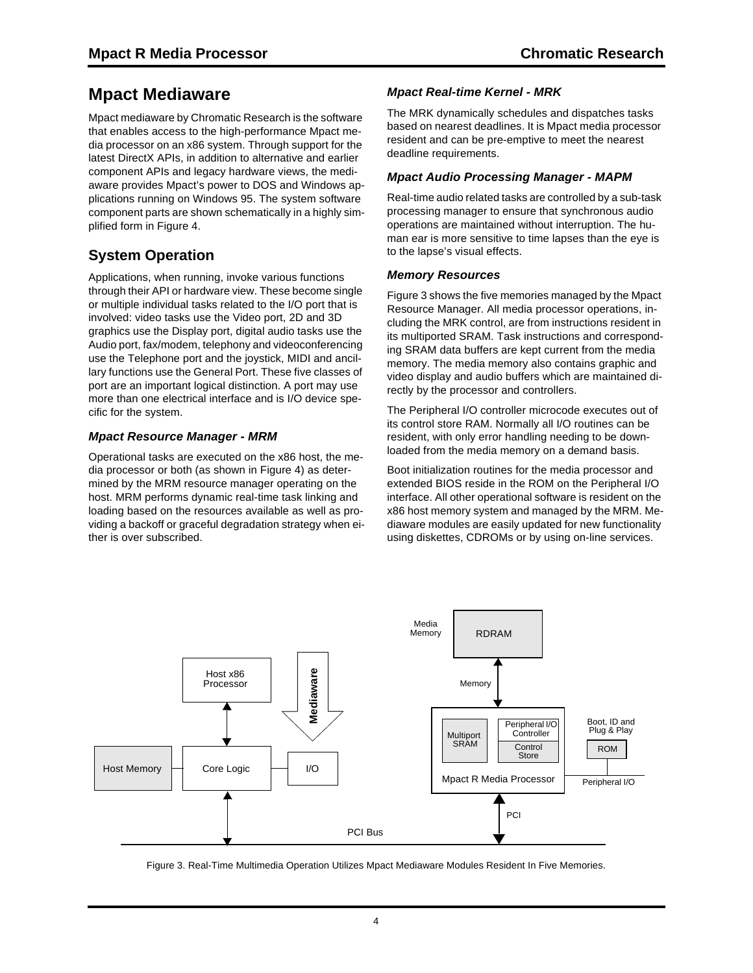## **Mpact Mediaware**

Mpact mediaware by Chromatic Research is the software that enables access to the high-performance Mpact media processor on an x86 system. Through support for the latest DirectX APIs, in addition to alternative and earlier component APIs and legacy hardware views, the mediaware provides Mpact's power to DOS and Windows applications running on Windows 95. The system software component parts are shown schematically in a highly simplified form in Figure 4.

## **System Operation**

Applications, when running, invoke various functions through their API or hardware view. These become single or multiple individual tasks related to the I/O port that is involved: video tasks use the Video port, 2D and 3D graphics use the Display port, digital audio tasks use the Audio port, fax/modem, telephony and videoconferencing use the Telephone port and the joystick, MIDI and ancillary functions use the General Port. These five classes of port are an important logical distinction. A port may use more than one electrical interface and is I/O device specific for the system.

### **Mpact Resource Manager - MRM**

Operational tasks are executed on the x86 host, the media processor or both (as shown in Figure 4) as determined by the MRM resource manager operating on the host. MRM performs dynamic real-time task linking and loading based on the resources available as well as providing a backoff or graceful degradation strategy when either is over subscribed.

### **Mpact Real-time Kernel - MRK**

The MRK dynamically schedules and dispatches tasks based on nearest deadlines. It is Mpact media processor resident and can be pre-emptive to meet the nearest deadline requirements.

### **Mpact Audio Processing Manager - MAPM**

Real-time audio related tasks are controlled by a sub-task processing manager to ensure that synchronous audio operations are maintained without interruption. The human ear is more sensitive to time lapses than the eye is to the lapse's visual effects.

#### **Memory Resources**

Figure 3 shows the five memories managed by the Mpact Resource Manager. All media processor operations, including the MRK control, are from instructions resident in its multiported SRAM. Task instructions and corresponding SRAM data buffers are kept current from the media memory. The media memory also contains graphic and video display and audio buffers which are maintained directly by the processor and controllers.

The Peripheral I/O controller microcode executes out of its control store RAM. Normally all I/O routines can be resident, with only error handling needing to be downloaded from the media memory on a demand basis.

Boot initialization routines for the media processor and extended BIOS reside in the ROM on the Peripheral I/O interface. All other operational software is resident on the x86 host memory system and managed by the MRM. Mediaware modules are easily updated for new functionality using diskettes, CDROMs or by using on-line services.



Figure 3. Real-Time Multimedia Operation Utilizes Mpact Mediaware Modules Resident In Five Memories.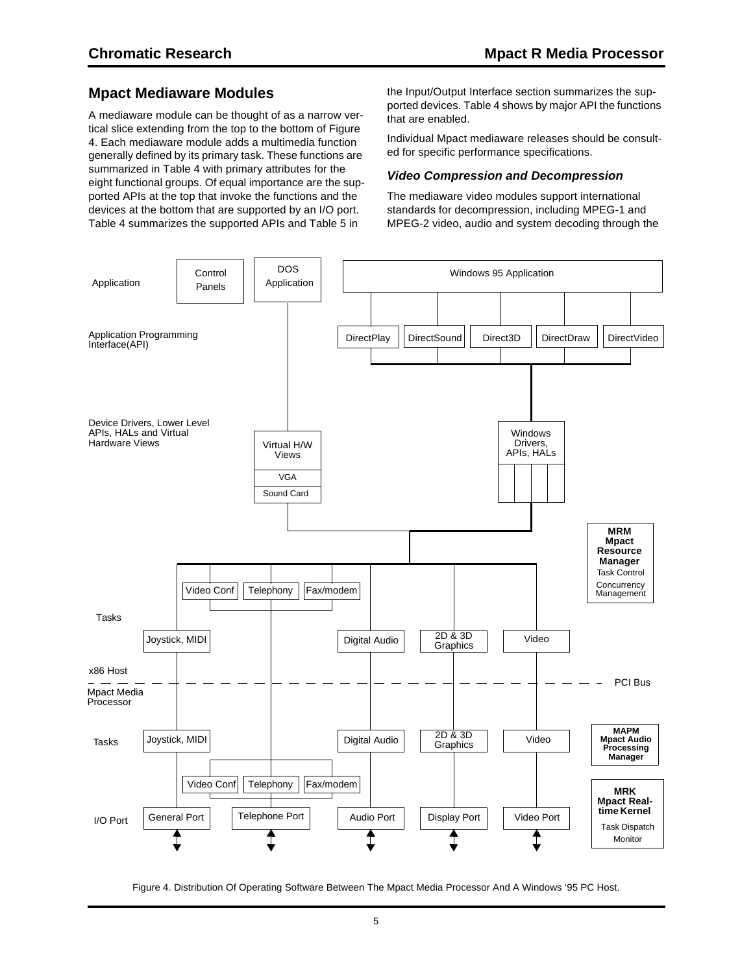### **Mpact Mediaware Modules**

A mediaware module can be thought of as a narrow vertical slice extending from the top to the bottom of Figure 4. Each mediaware module adds a multimedia function generally defined by its primary task. These functions are summarized in Table 4 with primary attributes for the eight functional groups. Of equal importance are the supported APIs at the top that invoke the functions and the devices at the bottom that are supported by an I/O port. Table 4 summarizes the supported APIs and Table 5 in

the Input/Output Interface section summarizes the supported devices. Table 4 shows by major API the functions that are enabled.

Individual Mpact mediaware releases should be consulted for specific performance specifications.

#### **Video Compression and Decompression**

The mediaware video modules support international standards for decompression, including MPEG-1 and MPEG-2 video, audio and system decoding through the



Figure 4. Distribution Of Operating Software Between The Mpact Media Processor And A Windows '95 PC Host.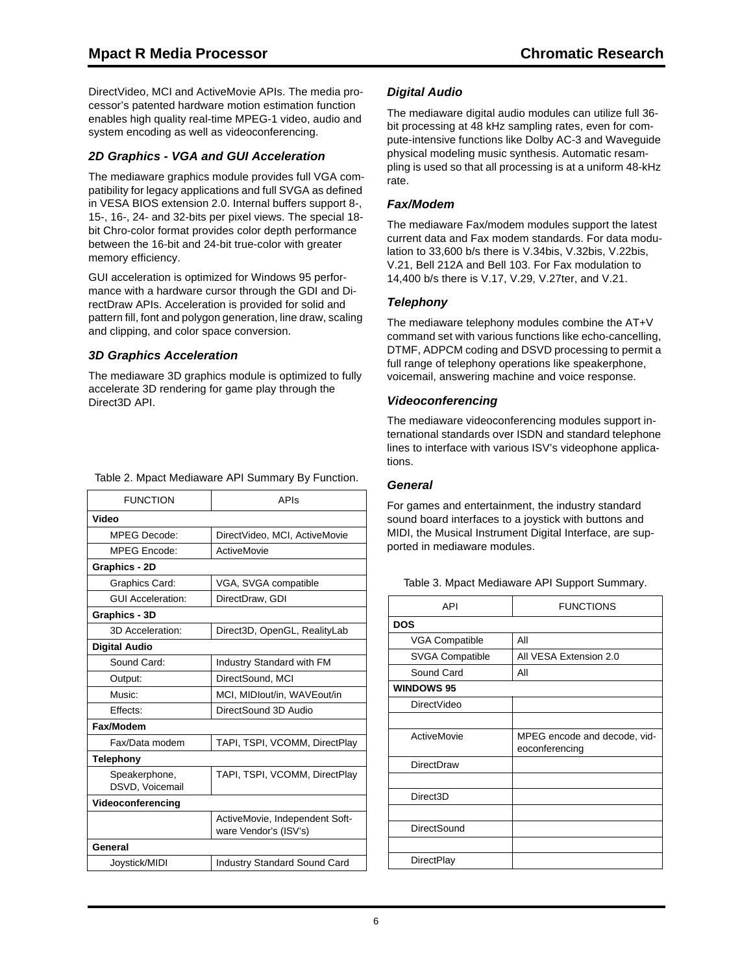DirectVideo, MCI and ActiveMovie APIs. The media processor's patented hardware motion estimation function enables high quality real-time MPEG-1 video, audio and system encoding as well as videoconferencing.

### **2D Graphics - VGA and GUI Acceleration**

The mediaware graphics module provides full VGA compatibility for legacy applications and full SVGA as defined in VESA BIOS extension 2.0. Internal buffers support 8-, 15-, 16-, 24- and 32-bits per pixel views. The special 18 bit Chro-color format provides color depth performance between the 16-bit and 24-bit true-color with greater memory efficiency.

GUI acceleration is optimized for Windows 95 performance with a hardware cursor through the GDI and DirectDraw APIs. Acceleration is provided for solid and pattern fill, font and polygon generation, line draw, scaling and clipping, and color space conversion.

### **3D Graphics Acceleration**

The mediaware 3D graphics module is optimized to fully accelerate 3D rendering for game play through the Direct3D API.

| <b>FUNCTION</b>                  | APIs                                                    |  |  |
|----------------------------------|---------------------------------------------------------|--|--|
| Video                            |                                                         |  |  |
| <b>MPEG Decode:</b>              | DirectVideo, MCI, ActiveMovie                           |  |  |
| MPFG Encode:                     | ActiveMovie                                             |  |  |
| Graphics - 2D                    |                                                         |  |  |
| Graphics Card:                   | VGA, SVGA compatible                                    |  |  |
| <b>GUI Acceleration:</b>         | DirectDraw, GDI                                         |  |  |
| Graphics - 3D                    |                                                         |  |  |
| 3D Acceleration:                 | Direct3D, OpenGL, RealityLab                            |  |  |
| <b>Digital Audio</b>             |                                                         |  |  |
| Sound Card:                      | Industry Standard with FM                               |  |  |
| Output:                          | DirectSound, MCI                                        |  |  |
| Music:                           | MCI, MIDIout/in, WAVEout/in                             |  |  |
| Effects:                         | DirectSound 3D Audio                                    |  |  |
| Fax/Modem                        |                                                         |  |  |
| Fax/Data modem                   | TAPI, TSPI, VCOMM, DirectPlay                           |  |  |
| <b>Telephony</b>                 |                                                         |  |  |
| Speakerphone,<br>DSVD, Voicemail | TAPI, TSPI, VCOMM, DirectPlay                           |  |  |
| Videoconferencing                |                                                         |  |  |
|                                  | ActiveMovie, Independent Soft-<br>ware Vendor's (ISV's) |  |  |
| General                          |                                                         |  |  |
| Joystick/MIDI                    | <b>Industry Standard Sound Card</b>                     |  |  |

Table 2. Mpact Mediaware API Summary By Function.

### **Digital Audio**

The mediaware digital audio modules can utilize full 36 bit processing at 48 kHz sampling rates, even for compute-intensive functions like Dolby AC-3 and Waveguide physical modeling music synthesis. Automatic resampling is used so that all processing is at a uniform 48-kHz rate.

#### **Fax/Modem**

The mediaware Fax/modem modules support the latest current data and Fax modem standards. For data modulation to 33,600 b/s there is V.34bis, V.32bis, V.22bis, V.21, Bell 212A and Bell 103. For Fax modulation to 14,400 b/s there is V.17, V.29, V.27ter, and V.21.

#### **Telephony**

The mediaware telephony modules combine the AT+V command set with various functions like echo-cancelling, DTMF, ADPCM coding and DSVD processing to permit a full range of telephony operations like speakerphone, voicemail, answering machine and voice response.

### **Videoconferencing**

The mediaware videoconferencing modules support international standards over ISDN and standard telephone lines to interface with various ISV's videophone applications.

### **General**

For games and entertainment, the industry standard sound board interfaces to a joystick with buttons and MIDI, the Musical Instrument Digital Interface, are supported in mediaware modules.

Table 3. Mpact Mediaware API Support Summary.

| <b>API</b>             | <b>FUNCTIONS</b>                               |
|------------------------|------------------------------------------------|
| <b>DOS</b>             |                                                |
| <b>VGA Compatible</b>  | All                                            |
| <b>SVGA Compatible</b> | All VESA Extension 2.0                         |
| Sound Card             | All                                            |
| <b>WINDOWS 95</b>      |                                                |
| <b>DirectVideo</b>     |                                                |
|                        |                                                |
| ActiveMovie            | MPEG encode and decode, vid-<br>eoconferencing |
| <b>DirectDraw</b>      |                                                |
|                        |                                                |
| Direct <sub>3</sub> D  |                                                |
|                        |                                                |
| DirectSound            |                                                |
|                        |                                                |
| <b>DirectPlay</b>      |                                                |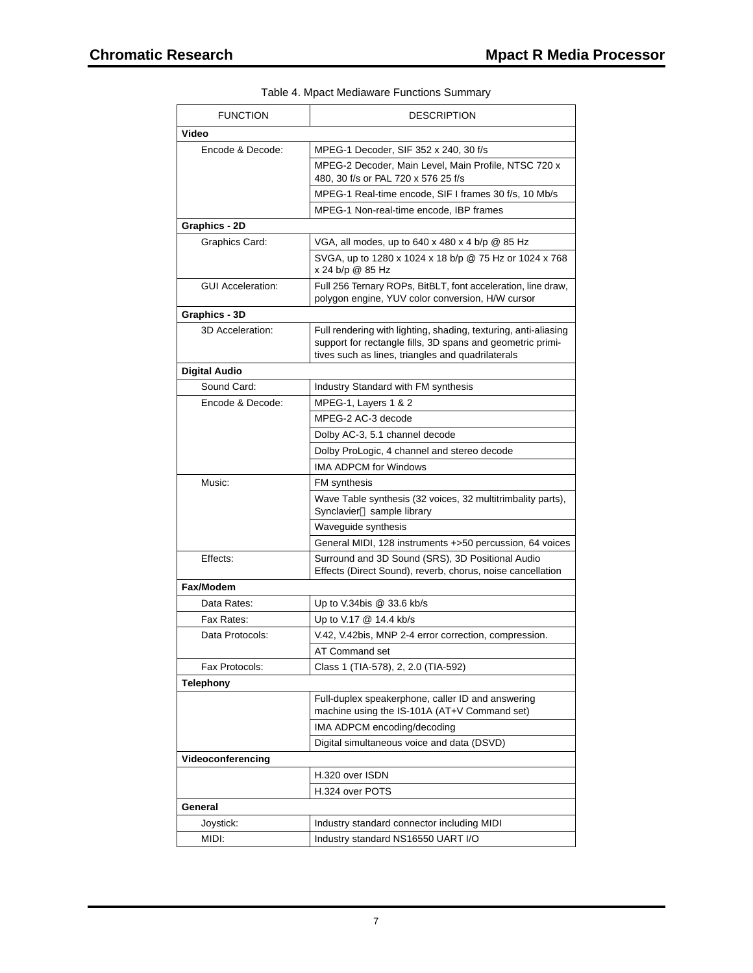| <b>FUNCTION</b>          | <b>DESCRIPTION</b>                                                                                                                                                                 |
|--------------------------|------------------------------------------------------------------------------------------------------------------------------------------------------------------------------------|
| Video                    |                                                                                                                                                                                    |
| Encode & Decode:         | MPEG-1 Decoder, SIF 352 x 240, 30 f/s                                                                                                                                              |
|                          | MPEG-2 Decoder, Main Level, Main Profile, NTSC 720 x<br>480, 30 f/s or PAL 720 x 576 25 f/s                                                                                        |
|                          | MPEG-1 Real-time encode, SIF I frames 30 f/s, 10 Mb/s                                                                                                                              |
|                          | MPEG-1 Non-real-time encode, IBP frames                                                                                                                                            |
| Graphics - 2D            |                                                                                                                                                                                    |
| Graphics Card:           | VGA, all modes, up to 640 x 480 x 4 b/p @ 85 Hz                                                                                                                                    |
|                          | SVGA, up to 1280 x 1024 x 18 b/p @ 75 Hz or 1024 x 768<br>x 24 b/p @ 85 Hz                                                                                                         |
| <b>GUI Acceleration:</b> | Full 256 Ternary ROPs, BitBLT, font acceleration, line draw,<br>polygon engine, YUV color conversion, H/W cursor                                                                   |
| Graphics - 3D            |                                                                                                                                                                                    |
| 3D Acceleration:         | Full rendering with lighting, shading, texturing, anti-aliasing<br>support for rectangle fills, 3D spans and geometric primi-<br>tives such as lines, triangles and quadrilaterals |
| <b>Digital Audio</b>     |                                                                                                                                                                                    |
| Sound Card:              | Industry Standard with FM synthesis                                                                                                                                                |
| Encode & Decode:         | MPEG-1, Layers 1 & 2                                                                                                                                                               |
|                          | MPEG-2 AC-3 decode                                                                                                                                                                 |
|                          | Dolby AC-3, 5.1 channel decode                                                                                                                                                     |
|                          | Dolby ProLogic, 4 channel and stereo decode                                                                                                                                        |
|                          | <b>IMA ADPCM for Windows</b>                                                                                                                                                       |
| Music:                   | FM synthesis                                                                                                                                                                       |
|                          | Wave Table synthesis (32 voices, 32 multitrimbality parts),<br>Synclavier® sample library                                                                                          |
|                          | Waveguide synthesis                                                                                                                                                                |
|                          | General MIDI, 128 instruments +>50 percussion, 64 voices                                                                                                                           |
| Effects:                 | Surround and 3D Sound (SRS), 3D Positional Audio<br>Effects (Direct Sound), reverb, chorus, noise cancellation                                                                     |
| Fax/Modem                |                                                                                                                                                                                    |
| Data Rates:              | Up to V.34bis @ 33.6 kb/s                                                                                                                                                          |
| Fax Rates:               | Up to $V.17 \& 14.4$ kb/s                                                                                                                                                          |
| Data Protocols:          | V.42, V.42bis, MNP 2-4 error correction, compression.                                                                                                                              |
|                          | AT Command set                                                                                                                                                                     |
| Fax Protocols:           | Class 1 (TIA-578), 2, 2.0 (TIA-592)                                                                                                                                                |
| <b>Telephony</b>         |                                                                                                                                                                                    |
|                          | Full-duplex speakerphone, caller ID and answering<br>machine using the IS-101A (AT+V Command set)                                                                                  |
|                          | IMA ADPCM encoding/decoding                                                                                                                                                        |
|                          | Digital simultaneous voice and data (DSVD)                                                                                                                                         |
| Videoconferencing        |                                                                                                                                                                                    |
|                          | H.320 over ISDN                                                                                                                                                                    |
|                          | H.324 over POTS                                                                                                                                                                    |
| General                  |                                                                                                                                                                                    |
| Joystick:                | Industry standard connector including MIDI                                                                                                                                         |
| MIDI:                    | Industry standard NS16550 UART I/O                                                                                                                                                 |

|  | Table 4. Mpact Mediaware Functions Summary |  |
|--|--------------------------------------------|--|
|  |                                            |  |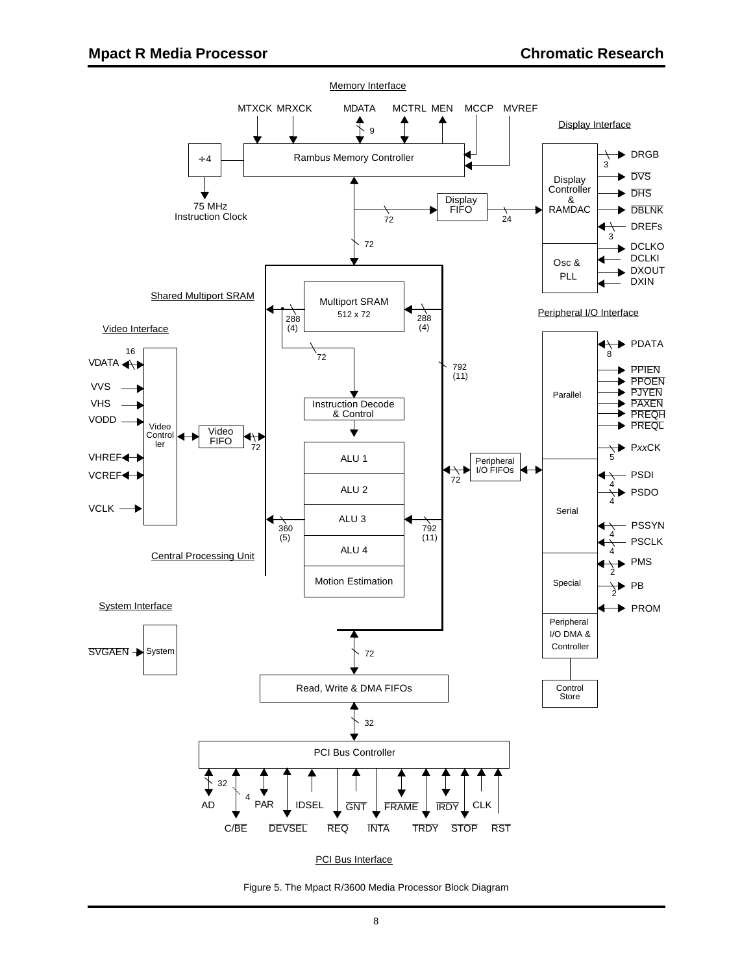

Figure 5. The Mpact R/3600 Media Processor Block Diagram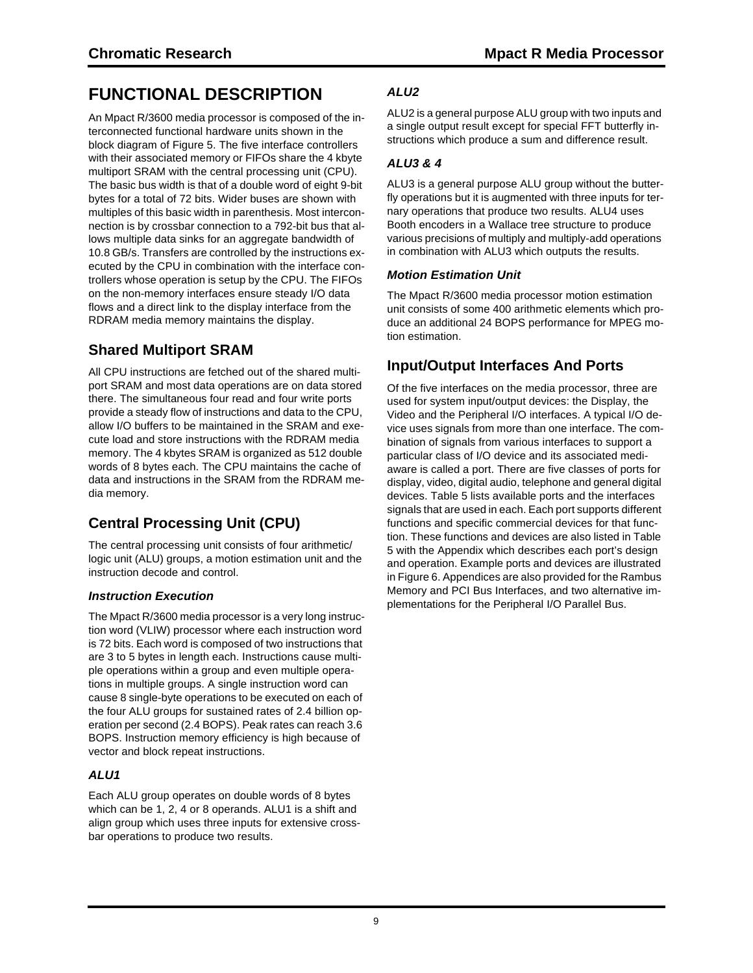## **FUNCTIONAL DESCRIPTION**

An Mpact R/3600 media processor is composed of the interconnected functional hardware units shown in the block diagram of Figure 5. The five interface controllers with their associated memory or FIFOs share the 4 kbyte multiport SRAM with the central processing unit (CPU). The basic bus width is that of a double word of eight 9-bit bytes for a total of 72 bits. Wider buses are shown with multiples of this basic width in parenthesis. Most interconnection is by crossbar connection to a 792-bit bus that allows multiple data sinks for an aggregate bandwidth of 10.8 GB/s. Transfers are controlled by the instructions executed by the CPU in combination with the interface controllers whose operation is setup by the CPU. The FIFOs on the non-memory interfaces ensure steady I/O data flows and a direct link to the display interface from the RDRAM media memory maintains the display.

## **Shared Multiport SRAM**

All CPU instructions are fetched out of the shared multiport SRAM and most data operations are on data stored there. The simultaneous four read and four write ports provide a steady flow of instructions and data to the CPU, allow I/O buffers to be maintained in the SRAM and execute load and store instructions with the RDRAM media memory. The 4 kbytes SRAM is organized as 512 double words of 8 bytes each. The CPU maintains the cache of data and instructions in the SRAM from the RDRAM media memory.

## **Central Processing Unit (CPU)**

The central processing unit consists of four arithmetic/ logic unit (ALU) groups, a motion estimation unit and the instruction decode and control.

### **Instruction Execution**

The Mpact R/3600 media processor is a very long instruction word (VLIW) processor where each instruction word is 72 bits. Each word is composed of two instructions that are 3 to 5 bytes in length each. Instructions cause multiple operations within a group and even multiple operations in multiple groups. A single instruction word can cause 8 single-byte operations to be executed on each of the four ALU groups for sustained rates of 2.4 billion operation per second (2.4 BOPS). Peak rates can reach 3.6 BOPS. Instruction memory efficiency is high because of vector and block repeat instructions.

### **ALU1**

Each ALU group operates on double words of 8 bytes which can be 1, 2, 4 or 8 operands. ALU1 is a shift and align group which uses three inputs for extensive crossbar operations to produce two results.

### **ALU2**

ALU2 is a general purpose ALU group with two inputs and a single output result except for special FFT butterfly instructions which produce a sum and difference result.

### **ALU3 & 4**

ALU3 is a general purpose ALU group without the butterfly operations but it is augmented with three inputs for ternary operations that produce two results. ALU4 uses Booth encoders in a Wallace tree structure to produce various precisions of multiply and multiply-add operations in combination with ALU3 which outputs the results.

### **Motion Estimation Unit**

The Mpact R/3600 media processor motion estimation unit consists of some 400 arithmetic elements which produce an additional 24 BOPS performance for MPEG motion estimation.

### **Input/Output Interfaces And Ports**

Of the five interfaces on the media processor, three are used for system input/output devices: the Display, the Video and the Peripheral I/O interfaces. A typical I/O device uses signals from more than one interface. The combination of signals from various interfaces to support a particular class of I/O device and its associated mediaware is called a port. There are five classes of ports for display, video, digital audio, telephone and general digital devices. Table 5 lists available ports and the interfaces signals that are used in each. Each port supports different functions and specific commercial devices for that function. These functions and devices are also listed in Table 5 with the Appendix which describes each port's design and operation. Example ports and devices are illustrated in Figure 6. Appendices are also provided for the Rambus Memory and PCI Bus Interfaces, and two alternative implementations for the Peripheral I/O Parallel Bus.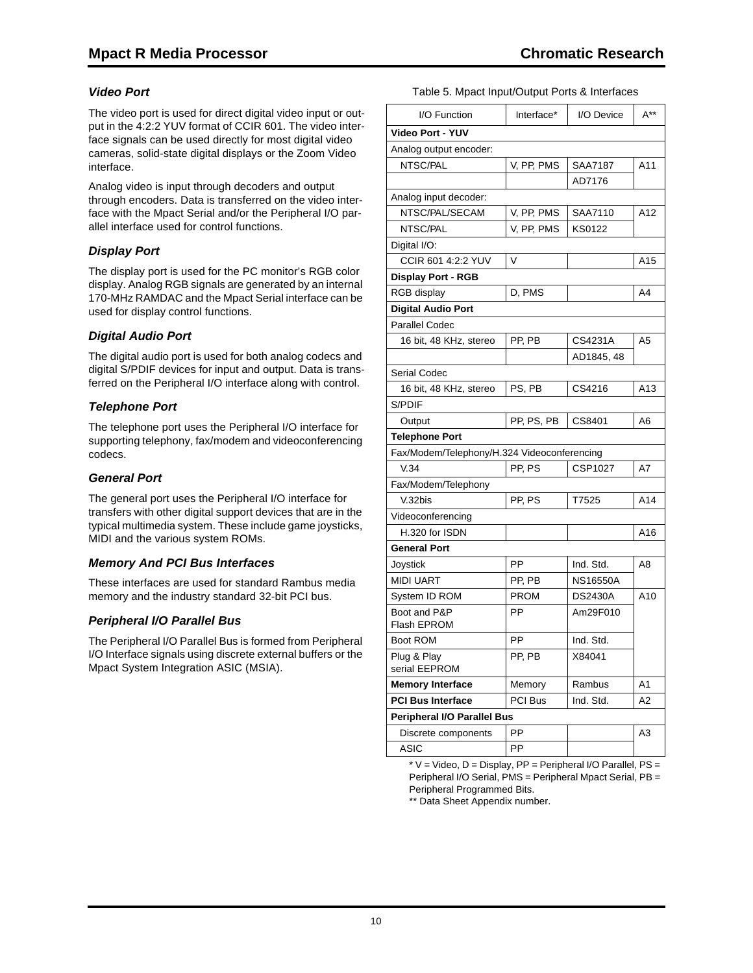### **Video Port**

The video port is used for direct digital video input or output in the 4:2:2 YUV format of CCIR 601. The video interface signals can be used directly for most digital video cameras, solid-state digital displays or the Zoom Video interface.

Analog video is input through decoders and output through encoders. Data is transferred on the video interface with the Mpact Serial and/or the Peripheral I/O parallel interface used for control functions.

### **Display Port**

The display port is used for the PC monitor's RGB color display. Analog RGB signals are generated by an internal 170-MHz RAMDAC and the Mpact Serial interface can be used for display control functions.

### **Digital Audio Port**

The digital audio port is used for both analog codecs and digital S/PDIF devices for input and output. Data is transferred on the Peripheral I/O interface along with control.

#### **Telephone Port**

The telephone port uses the Peripheral I/O interface for supporting telephony, fax/modem and videoconferencing codecs.

### **General Port**

The general port uses the Peripheral I/O interface for transfers with other digital support devices that are in the typical multimedia system. These include game joysticks, MIDI and the various system ROMs.

### **Memory And PCI Bus Interfaces**

These interfaces are used for standard Rambus media memory and the industry standard 32-bit PCI bus.

### **Peripheral I/O Parallel Bus**

The Peripheral I/O Parallel Bus is formed from Peripheral I/O Interface signals using discrete external buffers or the Mpact System Integration ASIC (MSIA).

#### Table 5. Mpact Input/Output Ports & Interfaces

| I/O Function                                | Interface*  | I/O Device      | $A^{**}$ |  |
|---------------------------------------------|-------------|-----------------|----------|--|
| Video Port - YUV                            |             |                 |          |  |
| Analog output encoder:                      |             |                 |          |  |
| NTSC/PAL                                    | V, PP, PMS  | SAA7187         | A11      |  |
|                                             |             | AD7176          |          |  |
| Analog input decoder:                       |             |                 |          |  |
| NTSC/PAL/SECAM                              | V, PP, PMS  | SAA7110         | A12      |  |
| NTSC/PAL                                    | V, PP, PMS  | KS0122          |          |  |
| Digital I/O:                                |             |                 |          |  |
| CCIR 601 4:2:2 YUV                          | V           |                 | A15      |  |
| <b>Display Port - RGB</b>                   |             |                 |          |  |
| RGB display                                 | D, PMS      |                 | A4       |  |
| <b>Digital Audio Port</b>                   |             |                 |          |  |
| <b>Parallel Codec</b>                       |             |                 |          |  |
| 16 bit, 48 KHz, stereo                      | PP, PB      | CS4231A         | A5       |  |
|                                             |             | AD1845, 48      |          |  |
| Serial Codec                                |             |                 |          |  |
| 16 bit, 48 KHz, stereo                      | PS. PB      | CS4216          | A13      |  |
| S/PDIF                                      |             |                 |          |  |
| Output                                      | PP, PS, PB  | CS8401          | A6       |  |
| <b>Telephone Port</b>                       |             |                 |          |  |
| Fax/Modem/Telephony/H.324 Videoconferencing |             |                 |          |  |
| V.34                                        | PP, PS      | CSP1027         | A7       |  |
| Fax/Modem/Telephony                         |             |                 |          |  |
| V.32bis                                     | PP, PS      | T7525           | A14      |  |
| Videoconferencing                           |             |                 |          |  |
| H.320 for ISDN                              |             |                 | A16      |  |
| <b>General Port</b>                         |             |                 |          |  |
| Joystick                                    | PP          | Ind. Std.       | A8       |  |
| <b>MIDI UART</b>                            | PP, PB      | <b>NS16550A</b> |          |  |
| System ID ROM                               | <b>PROM</b> | <b>DS2430A</b>  | A10      |  |
| Boot and P&P<br><b>Flash EPROM</b>          | PP          | Am29F010        |          |  |
| Boot ROM                                    | PP          | Ind. Std.       |          |  |
| Plug & Play<br>serial EEPROM                | PP, PB      | X84041          |          |  |
| <b>Memory Interface</b>                     | Memory      | Rambus          | Α1       |  |
| <b>PCI Bus Interface</b>                    | PCI Bus     | Ind. Std.       | A2       |  |
| Peripheral I/O Parallel Bus                 |             |                 |          |  |
| Discrete components                         | PP          |                 | A3       |  |
| <b>ASIC</b>                                 | PP          |                 |          |  |

 $*$  V = Video, D = Display, PP = Peripheral I/O Parallel, PS = Peripheral I/O Serial, PMS = Peripheral Mpact Serial, PB = Peripheral Programmed Bits.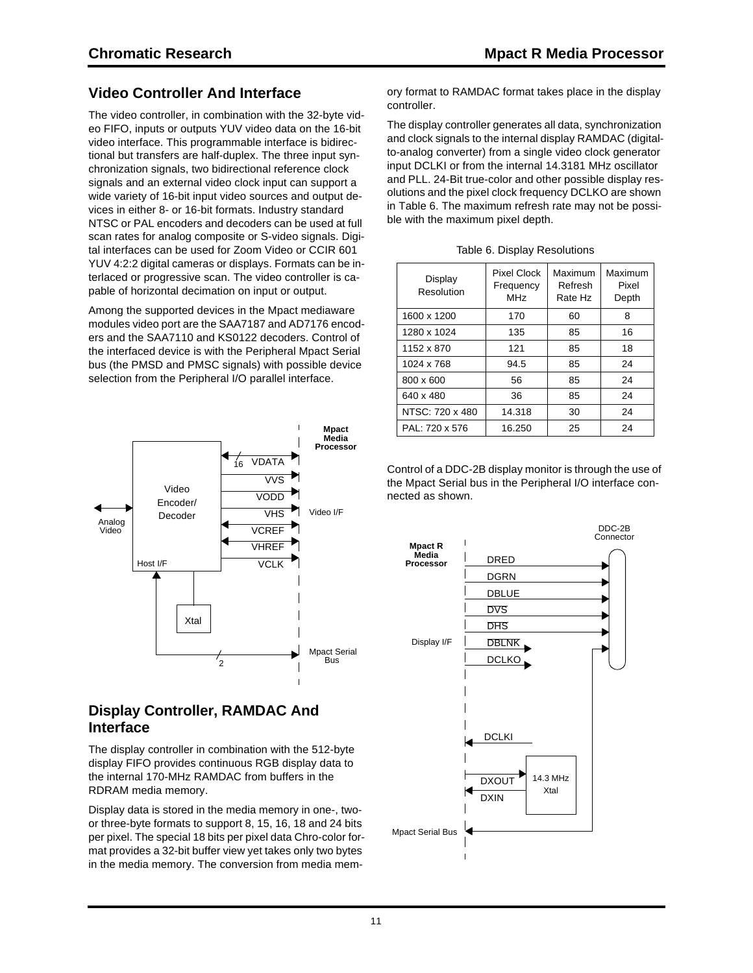### **Video Controller And Interface**

The video controller, in combination with the 32-byte video FIFO, inputs or outputs YUV video data on the 16-bit video interface. This programmable interface is bidirectional but transfers are half-duplex. The three input synchronization signals, two bidirectional reference clock signals and an external video clock input can support a wide variety of 16-bit input video sources and output devices in either 8- or 16-bit formats. Industry standard NTSC or PAL encoders and decoders can be used at full scan rates for analog composite or S-video signals. Digital interfaces can be used for Zoom Video or CCIR 601 YUV 4:2:2 digital cameras or displays. Formats can be interlaced or progressive scan. The video controller is capable of horizontal decimation on input or output.

Among the supported devices in the Mpact mediaware modules video port are the SAA7187 and AD7176 encoders and the SAA7110 and KS0122 decoders. Control of the interfaced device is with the Peripheral Mpact Serial bus (the PMSD and PMSC signals) with possible device selection from the Peripheral I/O parallel interface.



### **Display Controller, RAMDAC And Interface**

The display controller in combination with the 512-byte display FIFO provides continuous RGB display data to the internal 170-MHz RAMDAC from buffers in the RDRAM media memory.

Display data is stored in the media memory in one-, twoor three-byte formats to support 8, 15, 16, 18 and 24 bits per pixel. The special 18 bits per pixel data Chro-color format provides a 32-bit buffer view yet takes only two bytes in the media memory. The conversion from media memory format to RAMDAC format takes place in the display controller.

The display controller generates all data, synchronization and clock signals to the internal display RAMDAC (digitalto-analog converter) from a single video clock generator input DCLKI or from the internal 14.3181 MHz oscillator and PLL. 24-Bit true-color and other possible display resolutions and the pixel clock frequency DCLKO are shown in Table 6. The maximum refresh rate may not be possible with the maximum pixel depth.

| Display<br>Resolution | <b>Pixel Clock</b><br>Frequency<br>MH <sub>7</sub> | Maximum<br>Refresh<br>Rate Hz | Maximum<br>Pixel<br>Depth |
|-----------------------|----------------------------------------------------|-------------------------------|---------------------------|
| 1600 x 1200           | 170                                                | 60                            | 8                         |
| 1280 x 1024           | 135                                                | 85                            | 16                        |
| 1152 x 870            | 121                                                | 85                            | 18                        |
| 1024 x 768            | 94.5                                               | 85                            | 24                        |
| 800 x 600             | 56                                                 | 85                            | 24                        |
| 640 x 480             | 36                                                 | 85                            | 24                        |
| NTSC: 720 x 480       | 14.318                                             | 30                            | 24                        |
| PAL: 720 x 576        | 16.250                                             | 25                            | 24                        |

Table 6. Display Resolutions

Control of a DDC-2B display monitor is through the use of the Mpact Serial bus in the Peripheral I/O interface connected as shown.

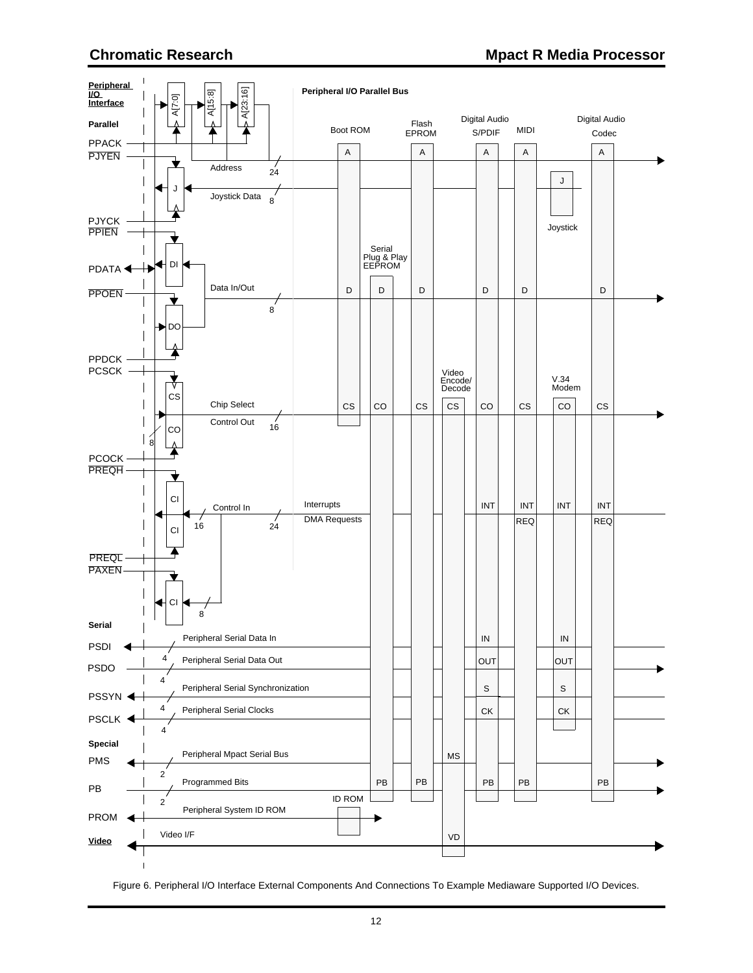

Figure 6. Peripheral I/O Interface External Components And Connections To Example Mediaware Supported I/O Devices.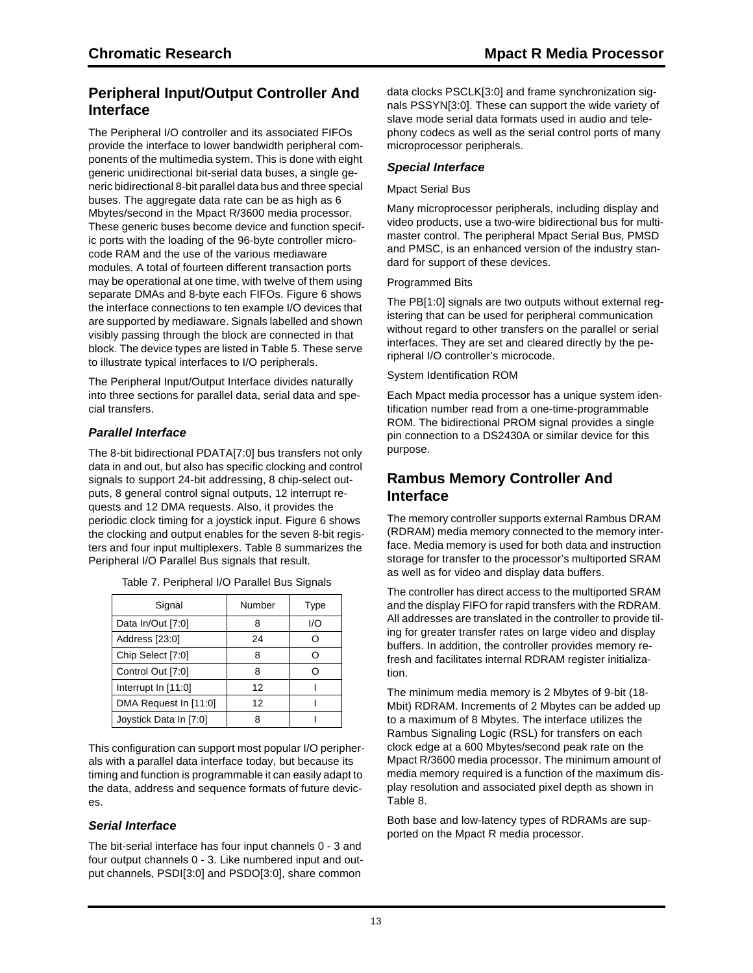### **Peripheral Input/Output Controller And Interface**

The Peripheral I/O controller and its associated FIFOs provide the interface to lower bandwidth peripheral components of the multimedia system. This is done with eight generic unidirectional bit-serial data buses, a single generic bidirectional 8-bit parallel data bus and three special buses. The aggregate data rate can be as high as 6 Mbytes/second in the Mpact R/3600 media processor. These generic buses become device and function specific ports with the loading of the 96-byte controller microcode RAM and the use of the various mediaware modules. A total of fourteen different transaction ports may be operational at one time, with twelve of them using separate DMAs and 8-byte each FIFOs. Figure 6 shows the interface connections to ten example I/O devices that are supported by mediaware. Signals labelled and shown visibly passing through the block are connected in that block. The device types are listed in Table 5. These serve to illustrate typical interfaces to I/O peripherals.

The Peripheral Input/Output Interface divides naturally into three sections for parallel data, serial data and special transfers.

### **Parallel Interface**

The 8-bit bidirectional PDATA[7:0] bus transfers not only data in and out, but also has specific clocking and control signals to support 24-bit addressing, 8 chip-select outputs, 8 general control signal outputs, 12 interrupt requests and 12 DMA requests. Also, it provides the periodic clock timing for a joystick input. Figure 6 shows the clocking and output enables for the seven 8-bit registers and four input multiplexers. Table 8 summarizes the Peripheral I/O Parallel Bus signals that result.

| Signal                 | Number | <b>Type</b> |
|------------------------|--------|-------------|
| Data In/Out [7:0]      | 8      | I/O         |
| Address [23:0]         | 24     |             |
| Chip Select [7:0]      | 8      |             |
| Control Out [7:0]      | 8      |             |
| Interrupt In [11:0]    | 12     |             |
| DMA Request In [11:0]  | 12     |             |
| Joystick Data In [7:0] | 8      |             |

Table 7. Peripheral I/O Parallel Bus Signals

This configuration can support most popular I/O peripherals with a parallel data interface today, but because its timing and function is programmable it can easily adapt to the data, address and sequence formats of future devices.

### **Serial Interface**

The bit-serial interface has four input channels 0 - 3 and four output channels 0 - 3. Like numbered input and output channels, PSDI[3:0] and PSDO[3:0], share common

data clocks PSCLK[3:0] and frame synchronization signals PSSYN[3:0]. These can support the wide variety of slave mode serial data formats used in audio and telephony codecs as well as the serial control ports of many microprocessor peripherals.

### **Special Interface**

#### Mpact Serial Bus

Many microprocessor peripherals, including display and video products, use a two-wire bidirectional bus for multimaster control. The peripheral Mpact Serial Bus, PMSD and PMSC, is an enhanced version of the industry standard for support of these devices.

#### Programmed Bits

The PB[1:0] signals are two outputs without external registering that can be used for peripheral communication without regard to other transfers on the parallel or serial interfaces. They are set and cleared directly by the peripheral I/O controller's microcode.

#### System Identification ROM

Each Mpact media processor has a unique system identification number read from a one-time-programmable ROM. The bidirectional PROM signal provides a single pin connection to a DS2430A or similar device for this purpose.

### **Rambus Memory Controller And Interface**

The memory controller supports external Rambus DRAM (RDRAM) media memory connected to the memory interface. Media memory is used for both data and instruction storage for transfer to the processor's multiported SRAM as well as for video and display data buffers.

The controller has direct access to the multiported SRAM and the display FIFO for rapid transfers with the RDRAM. All addresses are translated in the controller to provide tiling for greater transfer rates on large video and display buffers. In addition, the controller provides memory refresh and facilitates internal RDRAM register initialization.

The minimum media memory is 2 Mbytes of 9-bit (18- Mbit) RDRAM. Increments of 2 Mbytes can be added up to a maximum of 8 Mbytes. The interface utilizes the Rambus Signaling Logic (RSL) for transfers on each clock edge at a 600 Mbytes/second peak rate on the Mpact R/3600 media processor. The minimum amount of media memory required is a function of the maximum display resolution and associated pixel depth as shown in Table 8.

Both base and low-latency types of RDRAMs are supported on the Mpact R media processor.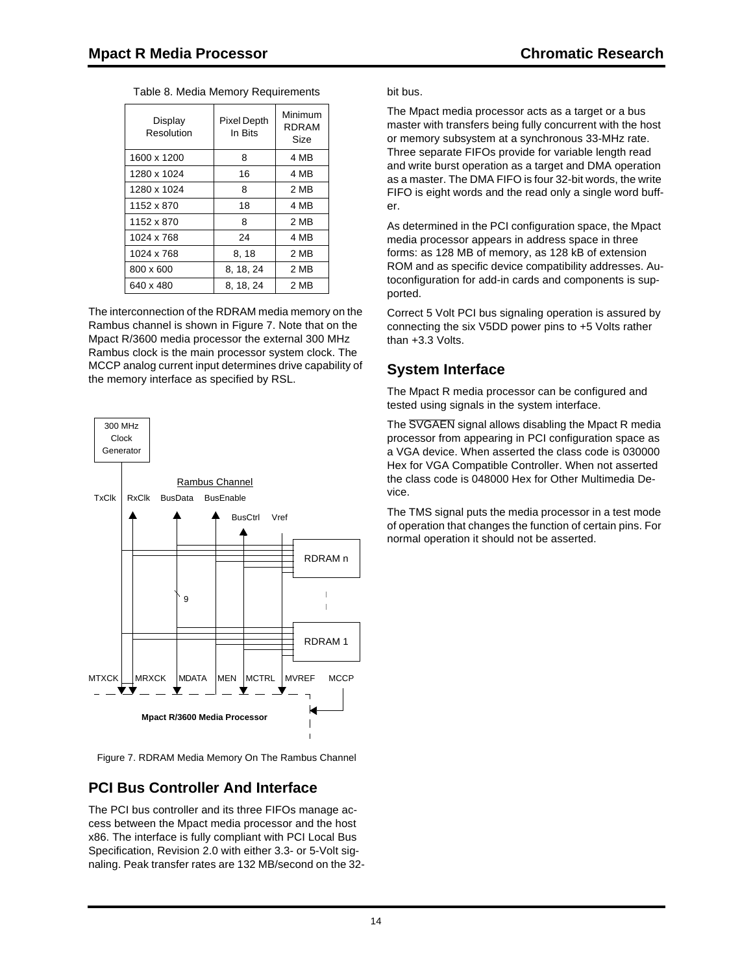| Display<br>Resolution | Pixel Depth<br>In Bits | Minimum<br>RDRAM<br>Size |
|-----------------------|------------------------|--------------------------|
| 1600 x 1200           | 8                      | 4 MB                     |
| 1280 x 1024           | 16                     | 4 MB                     |
| 1280 x 1024           | 8                      | 2 MB                     |
| 1152 x 870            | 18                     | 4 MB                     |
| 1152 x 870            | 8                      | 2 MB                     |
| 1024 x 768            | 24                     | 4 MB                     |
| 1024 x 768            | 8, 18                  | 2 MB                     |
| 800 x 600             | 8, 18, 24              | 2 MB                     |
| 640 x 480             | 8, 18, 24              | 2 MB                     |

Table 8. Media Memory Requirements

The interconnection of the RDRAM media memory on the Rambus channel is shown in Figure 7. Note that on the Mpact R/3600 media processor the external 300 MHz Rambus clock is the main processor system clock. The MCCP analog current input determines drive capability of the memory interface as specified by RSL.



Figure 7. RDRAM Media Memory On The Rambus Channel

### **PCI Bus Controller And Interface**

The PCI bus controller and its three FIFOs manage access between the Mpact media processor and the host x86. The interface is fully compliant with PCI Local Bus Specification, Revision 2.0 with either 3.3- or 5-Volt signaling. Peak transfer rates are 132 MB/second on the 32-

#### bit bus.

The Mpact media processor acts as a target or a bus master with transfers being fully concurrent with the host or memory subsystem at a synchronous 33-MHz rate. Three separate FIFOs provide for variable length read and write burst operation as a target and DMA operation as a master. The DMA FIFO is four 32-bit words, the write FIFO is eight words and the read only a single word buffer.

As determined in the PCI configuration space, the Mpact media processor appears in address space in three forms: as 128 MB of memory, as 128 kB of extension ROM and as specific device compatibility addresses. Autoconfiguration for add-in cards and components is supported.

Correct 5 Volt PCI bus signaling operation is assured by connecting the six V5DD power pins to +5 Volts rather than +3.3 Volts.

### **System Interface**

The Mpact R media processor can be configured and tested using signals in the system interface.

The SVGAEN signal allows disabling the Mpact R media processor from appearing in PCI configuration space as a VGA device. When asserted the class code is 030000 Hex for VGA Compatible Controller. When not asserted the class code is 048000 Hex for Other Multimedia Device.

The TMS signal puts the media processor in a test mode of operation that changes the function of certain pins. For normal operation it should not be asserted.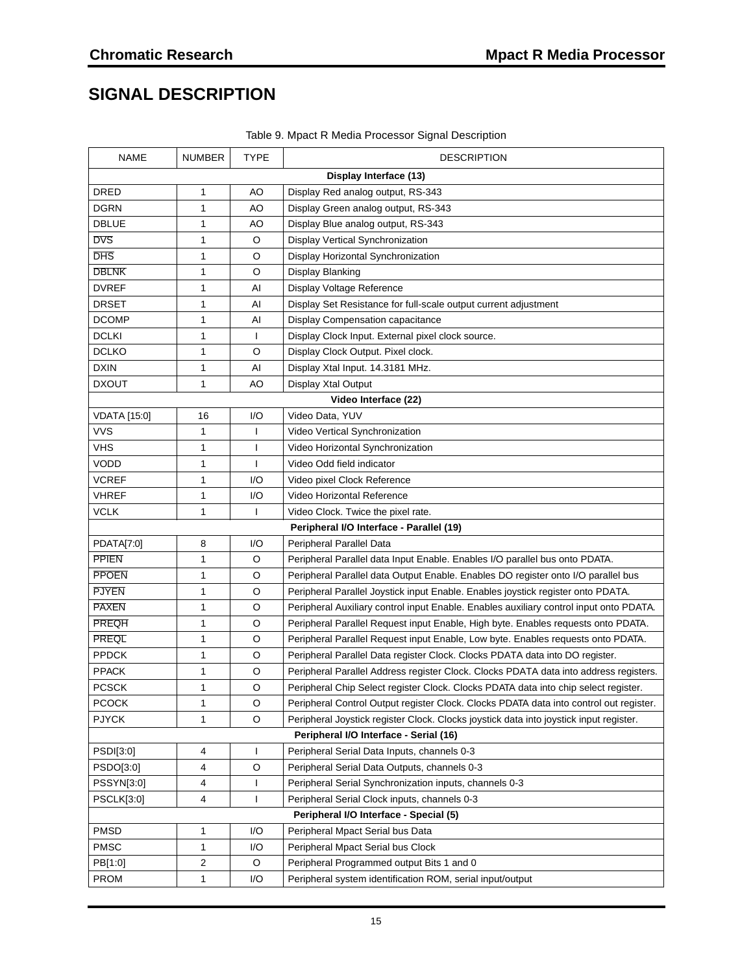## **SIGNAL DESCRIPTION**

| <b>NAME</b>                              | <b>NUMBER</b> | <b>TYPE</b> | <b>DESCRIPTION</b>                                                                     |
|------------------------------------------|---------------|-------------|----------------------------------------------------------------------------------------|
|                                          |               |             | Display Interface (13)                                                                 |
| DRED                                     | 1             | ΑO          | Display Red analog output, RS-343                                                      |
| <b>DGRN</b>                              | 1             | AO          | Display Green analog output, RS-343                                                    |
| <b>DBLUE</b>                             | 1             | AO          | Display Blue analog output, RS-343                                                     |
| <b>DVS</b>                               | 1             | O           | Display Vertical Synchronization                                                       |
| <b>DHS</b>                               | 1             | O           | Display Horizontal Synchronization                                                     |
| <b>DBLNK</b>                             | 1             | O           | Display Blanking                                                                       |
| <b>DVREF</b>                             | 1             | Al          | Display Voltage Reference                                                              |
| <b>DRSET</b>                             | 1             | Al          | Display Set Resistance for full-scale output current adjustment                        |
| <b>DCOMP</b>                             | 1             | Al          | Display Compensation capacitance                                                       |
| <b>DCLKI</b>                             | 1             |             | Display Clock Input. External pixel clock source.                                      |
| <b>DCLKO</b>                             | 1             | O           | Display Clock Output. Pixel clock.                                                     |
| <b>DXIN</b>                              | 1             | AI          | Display Xtal Input. 14.3181 MHz.                                                       |
| <b>DXOUT</b>                             | 1             | AO          | Display Xtal Output                                                                    |
|                                          |               |             | Video Interface (22)                                                                   |
| <b>VDATA</b> [15:0]                      | 16            | I/O         | Video Data, YUV                                                                        |
| <b>VVS</b>                               | 1             | L           | Video Vertical Synchronization                                                         |
| <b>VHS</b>                               | 1             | L           | Video Horizontal Synchronization                                                       |
| VODD                                     | 1             | L           | Video Odd field indicator                                                              |
| <b>VCREF</b>                             | 1             | I/O         | Video pixel Clock Reference                                                            |
| <b>VHREF</b>                             | 1             | I/O         | Video Horizontal Reference                                                             |
| <b>VCLK</b>                              | 1             | L           | Video Clock. Twice the pixel rate.                                                     |
| Peripheral I/O Interface - Parallel (19) |               |             |                                                                                        |
| PDATA[7:0]                               | 8             | I/O         | Peripheral Parallel Data                                                               |
| <b>PPIEN</b>                             | 1             | O           | Peripheral Parallel data Input Enable. Enables I/O parallel bus onto PDATA.            |
| <b>PPOEN</b>                             | 1             | O           | Peripheral Parallel data Output Enable. Enables DO register onto I/O parallel bus      |
| <b>PJYEN</b>                             | 1             | O           | Peripheral Parallel Joystick input Enable. Enables joystick register onto PDATA.       |
| <b>PAXEN</b>                             | 1             | O           | Peripheral Auxiliary control input Enable. Enables auxiliary control input onto PDATA. |
| <b>PREQH</b>                             | 1             | O           | Peripheral Parallel Request input Enable, High byte. Enables requests onto PDATA.      |
| <b>PREQL</b>                             | 1             | O           | Peripheral Parallel Request input Enable, Low byte. Enables requests onto PDATA.       |
| <b>PPDCK</b>                             | 1             | $\circ$     | Peripheral Parallel Data register Clock. Clocks PDATA data into DO register.           |
| <b>PPACK</b>                             | 1             | O           | Peripheral Parallel Address register Clock. Clocks PDATA data into address registers.  |
| <b>PCSCK</b>                             | 1             | O           | Peripheral Chip Select register Clock. Clocks PDATA data into chip select register.    |
| <b>PCOCK</b>                             | 1             | $\mathsf O$ | Peripheral Control Output register Clock. Clocks PDATA data into control out register. |
| <b>PJYCK</b>                             | 1             | O           | Peripheral Joystick register Clock. Clocks joystick data into joystick input register. |
|                                          |               |             | Peripheral I/O Interface - Serial (16)                                                 |
| PSDI[3:0]                                | 4             | L           | Peripheral Serial Data Inputs, channels 0-3                                            |
| PSDO[3:0]                                | 4             | O           | Peripheral Serial Data Outputs, channels 0-3                                           |
| PSSYN[3:0]                               | 4             |             | Peripheral Serial Synchronization inputs, channels 0-3                                 |
| PSCLK[3:0]                               | 4             | L           | Peripheral Serial Clock inputs, channels 0-3                                           |
|                                          |               |             | Peripheral I/O Interface - Special (5)                                                 |
| <b>PMSD</b>                              | 1             | I/O         | Peripheral Mpact Serial bus Data                                                       |
| <b>PMSC</b>                              | 1             | I/O         | Peripheral Mpact Serial bus Clock                                                      |
| PB[1:0]                                  | 2             | O           | Peripheral Programmed output Bits 1 and 0                                              |
| <b>PROM</b>                              | 1             | I/O         | Peripheral system identification ROM, serial input/output                              |

Table 9. Mpact R Media Processor Signal Description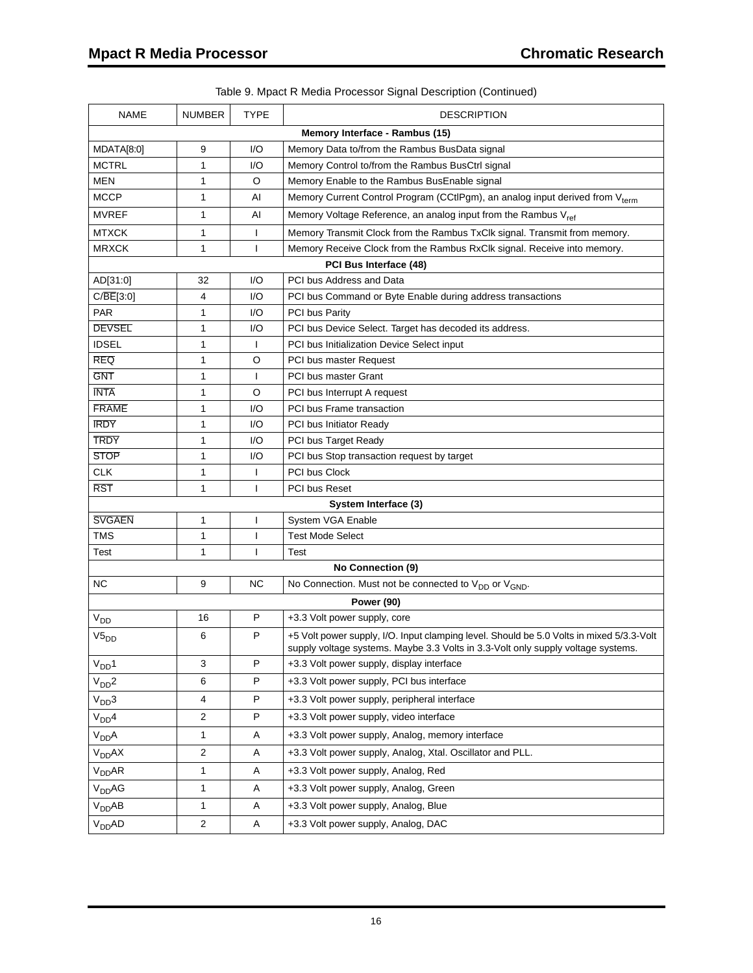| <b>NAME</b>        | <b>NUMBER</b> | <b>TYPE</b> | <b>DESCRIPTION</b>                                                                                                                                                           |
|--------------------|---------------|-------------|------------------------------------------------------------------------------------------------------------------------------------------------------------------------------|
|                    |               |             | Memory Interface - Rambus (15)                                                                                                                                               |
| MDATA[8:0]         | 9             | I/O         | Memory Data to/from the Rambus BusData signal                                                                                                                                |
| <b>MCTRL</b>       | 1             | I/O         | Memory Control to/from the Rambus BusCtrl signal                                                                                                                             |
| <b>MEN</b>         | 1             | O           | Memory Enable to the Rambus BusEnable signal                                                                                                                                 |
| <b>MCCP</b>        | 1             | Al          | Memory Current Control Program (CCtlPgm), an analog input derived from V <sub>term</sub>                                                                                     |
| <b>MVREF</b>       | 1             | AI          | Memory Voltage Reference, an analog input from the Rambus V <sub>ref</sub>                                                                                                   |
| <b>MTXCK</b>       | 1             | L           | Memory Transmit Clock from the Rambus TxClk signal. Transmit from memory.                                                                                                    |
| <b>MRXCK</b>       | 1             | T           | Memory Receive Clock from the Rambus RxClk signal. Receive into memory.                                                                                                      |
|                    |               |             | PCI Bus Interface (48)                                                                                                                                                       |
| AD[31:0]           | 32            | I/O         | PCI bus Address and Data                                                                                                                                                     |
| C/BE[3:0]          | 4             | I/O         | PCI bus Command or Byte Enable during address transactions                                                                                                                   |
| <b>PAR</b>         | 1             | I/O         | PCI bus Parity                                                                                                                                                               |
| <b>DEVSEL</b>      | 1             | I/O         | PCI bus Device Select. Target has decoded its address.                                                                                                                       |
| <b>IDSEL</b>       | 1             | I.          | PCI bus Initialization Device Select input                                                                                                                                   |
| <b>REQ</b>         | 1             | O           | PCI bus master Request                                                                                                                                                       |
| <b>GNT</b>         | 1             |             | PCI bus master Grant                                                                                                                                                         |
| <b>INTA</b>        | 1             | O           | PCI bus Interrupt A request                                                                                                                                                  |
| <b>FRAME</b>       | 1             | I/O         | PCI bus Frame transaction                                                                                                                                                    |
| <b>IRDY</b>        | 1             | I/O         | PCI bus Initiator Ready                                                                                                                                                      |
| <b>TRDY</b>        | 1             | I/O         | PCI bus Target Ready                                                                                                                                                         |
| <b>STOP</b>        | 1             | I/O         | PCI bus Stop transaction request by target                                                                                                                                   |
| <b>CLK</b>         | 1             |             | PCI bus Clock                                                                                                                                                                |
| <b>RST</b>         | 1             |             | <b>PCI bus Reset</b>                                                                                                                                                         |
|                    |               |             | System Interface (3)                                                                                                                                                         |
| <b>SVGAEN</b>      | 1             |             | System VGA Enable                                                                                                                                                            |
| <b>TMS</b>         | 1             | I           | <b>Test Mode Select</b>                                                                                                                                                      |
| Test               | 1             | ı           | Test                                                                                                                                                                         |
|                    |               |             | No Connection (9)                                                                                                                                                            |
| NC.                | 9             | NC.         | No Connection. Must not be connected to V <sub>DD</sub> or V <sub>GND</sub> .                                                                                                |
|                    |               |             | Power (90)                                                                                                                                                                   |
| V <sub>DD</sub>    | 16            | P           | +3.3 Volt power supply, core                                                                                                                                                 |
| $V5_{DD}$          | 6             | P           | +5 Volt power supply, I/O. Input clamping level. Should be 5.0 Volts in mixed 5/3.3-Volt<br>supply voltage systems. Maybe 3.3 Volts in 3.3-Volt only supply voltage systems. |
| V <sub>DD</sub> 1  | 3             | P           | +3.3 Volt power supply, display interface                                                                                                                                    |
| V <sub>DD</sub> 2  | 6             | P           | +3.3 Volt power supply, PCI bus interface                                                                                                                                    |
| V <sub>DD</sub> 3  | 4             | P           | +3.3 Volt power supply, peripheral interface                                                                                                                                 |
| V <sub>DD</sub> 4  | 2             | P           | +3.3 Volt power supply, video interface                                                                                                                                      |
| V <sub>DD</sub> A  | 1             | Α           | +3.3 Volt power supply, Analog, memory interface                                                                                                                             |
| V <sub>DD</sub> AX | 2             | Α           | +3.3 Volt power supply, Analog, Xtal. Oscillator and PLL.                                                                                                                    |
| V <sub>DD</sub> AR | 1             | Α           | +3.3 Volt power supply, Analog, Red                                                                                                                                          |
| $V_{DD}AG$         | $\mathbf{1}$  | Α           | +3.3 Volt power supply, Analog, Green                                                                                                                                        |
| V <sub>DD</sub> AB | $\mathbf{1}$  | Α           | +3.3 Volt power supply, Analog, Blue                                                                                                                                         |
| V <sub>DD</sub> AD | 2             | A           | +3.3 Volt power supply, Analog, DAC                                                                                                                                          |

Table 9. Mpact R Media Processor Signal Description (Continued)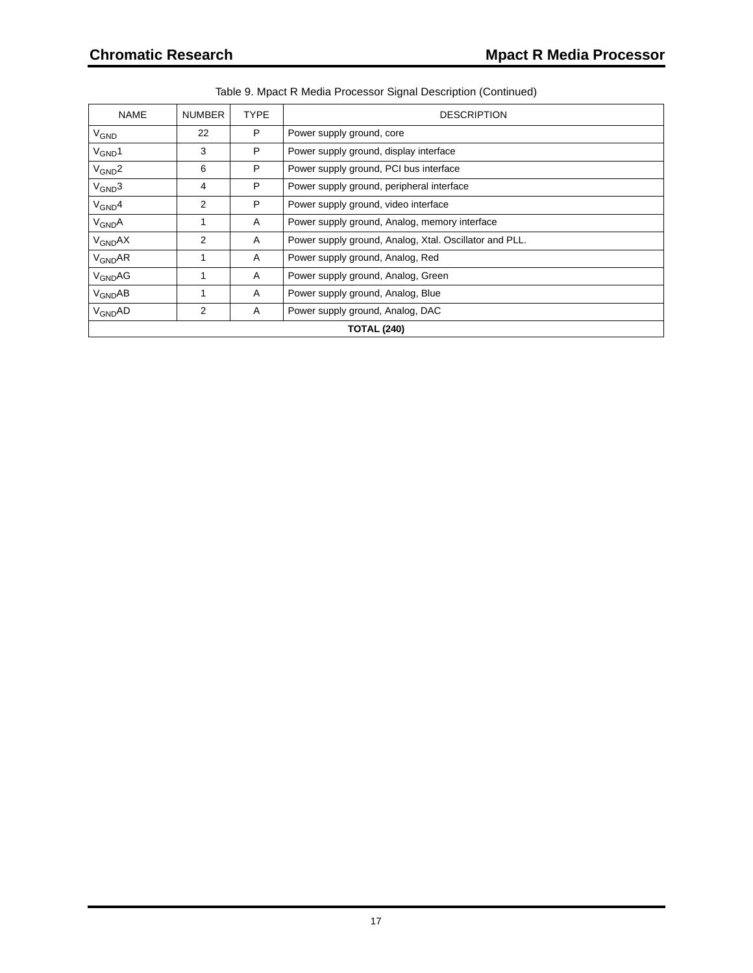| <b>NAME</b>             | <b>NUMBER</b>      | <b>TYPE</b> | <b>DESCRIPTION</b>                                     |  |  |  |
|-------------------------|--------------------|-------------|--------------------------------------------------------|--|--|--|
| <b>V<sub>GND</sub></b>  | 22                 | P           | Power supply ground, core                              |  |  |  |
| $V_{GND}1$              | 3                  | P           | Power supply ground, display interface                 |  |  |  |
| $V_{GND}$ 2             | 6                  | P           | Power supply ground, PCI bus interface                 |  |  |  |
| $V_{GND}3$              | 4                  | P           | Power supply ground, peripheral interface              |  |  |  |
| $V_{GND}4$              | 2                  | P           | Power supply ground, video interface                   |  |  |  |
| <b>V<sub>GND</sub>A</b> | 1                  | A           | Power supply ground, Analog, memory interface          |  |  |  |
| V <sub>GND</sub> AX     | 2                  | A           | Power supply ground, Analog, Xtal. Oscillator and PLL. |  |  |  |
| V <sub>GND</sub> AR     |                    | A           | Power supply ground, Analog, Red                       |  |  |  |
| V <sub>GND</sub> AG     | 1                  | A           | Power supply ground, Analog, Green                     |  |  |  |
| V <sub>GND</sub> AB     | 1                  | A           | Power supply ground, Analog, Blue                      |  |  |  |
| V <sub>GND</sub> AD     | 2                  | A           | Power supply ground, Analog, DAC                       |  |  |  |
|                         | <b>TOTAL (240)</b> |             |                                                        |  |  |  |

Table 9. Mpact R Media Processor Signal Description (Continued)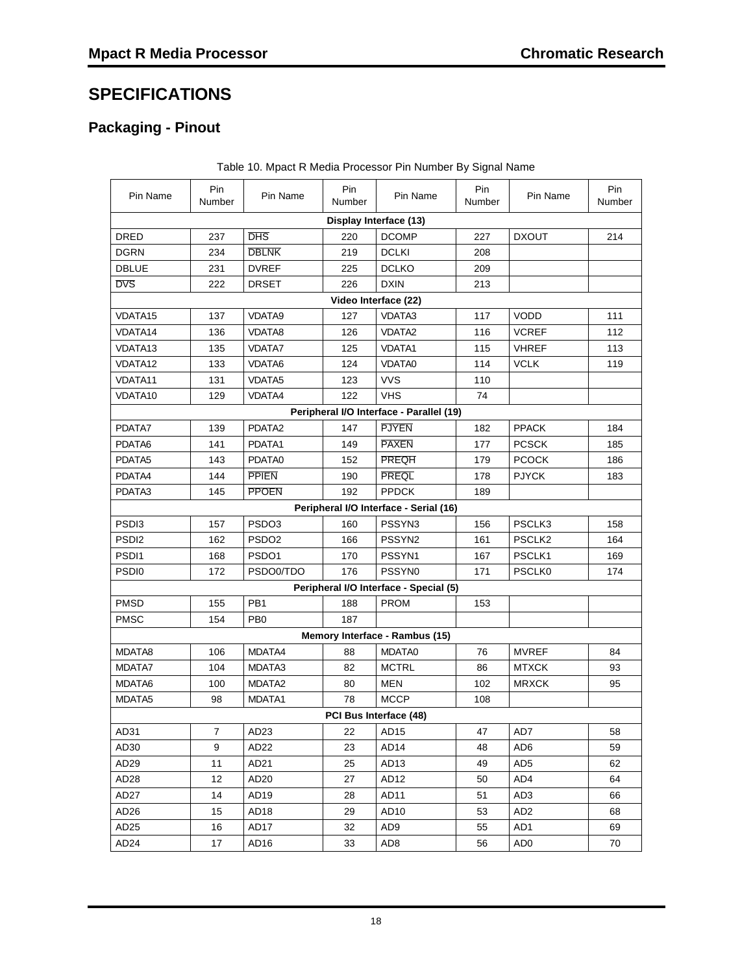## **SPECIFICATIONS**

## **Packaging - Pinout**

| Pin Name          | Pin<br>Number | Pin Name           | Pin<br>Number | Pin Name                                 | Pin<br>Number | Pin Name           | Pin<br>Number |
|-------------------|---------------|--------------------|---------------|------------------------------------------|---------------|--------------------|---------------|
|                   |               |                    |               | Display Interface (13)                   |               |                    |               |
| DRED              | 237           | <b>DHS</b>         | 220           | <b>DCOMP</b>                             | 227           | <b>DXOUT</b>       | 214           |
| <b>DGRN</b>       | 234           | <b>DBLNK</b>       | 219           | <b>DCLKI</b>                             | 208           |                    |               |
| <b>DBLUE</b>      | 231           | <b>DVREF</b>       | 225           | <b>DCLKO</b>                             | 209           |                    |               |
| <b>DVS</b>        | 222           | <b>DRSET</b>       | 226           | <b>DXIN</b>                              | 213           |                    |               |
|                   |               |                    |               | Video Interface (22)                     |               |                    |               |
| VDATA15           | 137           | <b>VDATA9</b>      | 127           | <b>VDATA3</b>                            | 117           | <b>VODD</b>        | 111           |
| VDATA14           | 136           | VDATA8             | 126           | VDATA2                                   | 116           | <b>VCREF</b>       | 112           |
| VDATA13           | 135           | <b>VDATA7</b>      | 125           | <b>VDATA1</b>                            | 115           | <b>VHREF</b>       | 113           |
| VDATA12           | 133           | VDATA6             | 124           | VDATA0                                   | 114           | <b>VCLK</b>        | 119           |
| <b>VDATA11</b>    | 131           | VDATA5             | 123           | <b>VVS</b>                               | 110           |                    |               |
| VDATA10           | 129           | VDATA4             | 122           | <b>VHS</b>                               | 74            |                    |               |
|                   |               |                    |               | Peripheral I/O Interface - Parallel (19) |               |                    |               |
| PDATA7            | 139           | PDATA2             | 147           | <b>PJYEN</b>                             | 182           | <b>PPACK</b>       | 184           |
| PDATA6            | 141           | PDATA1             | 149           | <b>PAXEN</b>                             | 177           | <b>PCSCK</b>       | 185           |
| PDATA5            | 143           | PDATA0             | 152           | <b>PREQH</b>                             | 179           | <b>PCOCK</b>       | 186           |
| PDATA4            | 144           | <b>PPIEN</b>       | 190           | <b>PREQL</b>                             | 178           | <b>PJYCK</b>       | 183           |
| PDATA3            | 145           | <b>PPOEN</b>       | 192           | <b>PPDCK</b>                             | 189           |                    |               |
|                   |               |                    |               | Peripheral I/O Interface - Serial (16)   |               |                    |               |
| PSDI3             | 157           | PSDO3              | 160           | PSSYN3                                   | 156           | PSCLK3             | 158           |
| PSDI <sub>2</sub> | 162           | PSDO <sub>2</sub>  | 166           | PSSYN <sub>2</sub>                       | 161           | PSCLK2             | 164           |
| PSDI1             | 168           | PSDO1              | 170           | PSSYN1                                   | 167           | PSCLK <sub>1</sub> | 169           |
| PSDI0             | 172           | PSDO0/TDO          | 176           | PSSYN0                                   | 171           | <b>PSCLK0</b>      | 174           |
|                   |               |                    |               | Peripheral I/O Interface - Special (5)   |               |                    |               |
| <b>PMSD</b>       | 155           | PB <sub>1</sub>    | 188           | <b>PROM</b>                              | 153           |                    |               |
| <b>PMSC</b>       | 154           | PB <sub>0</sub>    | 187           |                                          |               |                    |               |
|                   |               |                    |               | Memory Interface - Rambus (15)           |               |                    |               |
| MDATA8            | 106           | MDATA4             | 88            | MDATA0                                   | 76            | <b>MVREF</b>       | 84            |
| MDATA7            | 104           | MDATA3             | 82            | <b>MCTRL</b>                             | 86            | <b>MTXCK</b>       | 93            |
| MDATA6            | 100           | MDATA <sub>2</sub> | 80            | <b>MEN</b>                               | 102           | <b>MRXCK</b>       | 95            |
| MDATA5            | 98            | MDATA1             | 78            | <b>MCCP</b>                              | 108           |                    |               |
|                   |               |                    |               | PCI Bus Interface (48)                   |               |                    |               |
| AD31              | 7             | AD <sub>23</sub>   | 22            | AD <sub>15</sub>                         | 47            | AD7                | 58            |
| AD30              | 9             | AD <sub>22</sub>   | 23            | AD14                                     | 48            | AD6                | 59            |
| AD <sub>29</sub>  | 11            | AD <sub>21</sub>   | 25            | AD <sub>13</sub>                         | 49            | AD5                | 62            |
| AD <sub>28</sub>  | 12            | AD20               | 27            | AD12                                     | 50            | AD4                | 64            |
| AD27              | 14            | AD19               | 28            | AD11                                     | 51            | AD3                | 66            |
| AD <sub>26</sub>  | 15            | AD <sub>18</sub>   | 29            | AD10                                     | 53            | AD2                | 68            |
| AD25              | 16            | AD17               | 32            | AD9                                      | 55            | AD1                | 69            |
| AD24              | 17            | AD16               | 33            | AD8                                      | 56            | AD0                | 70            |

Table 10. Mpact R Media Processor Pin Number By Signal Name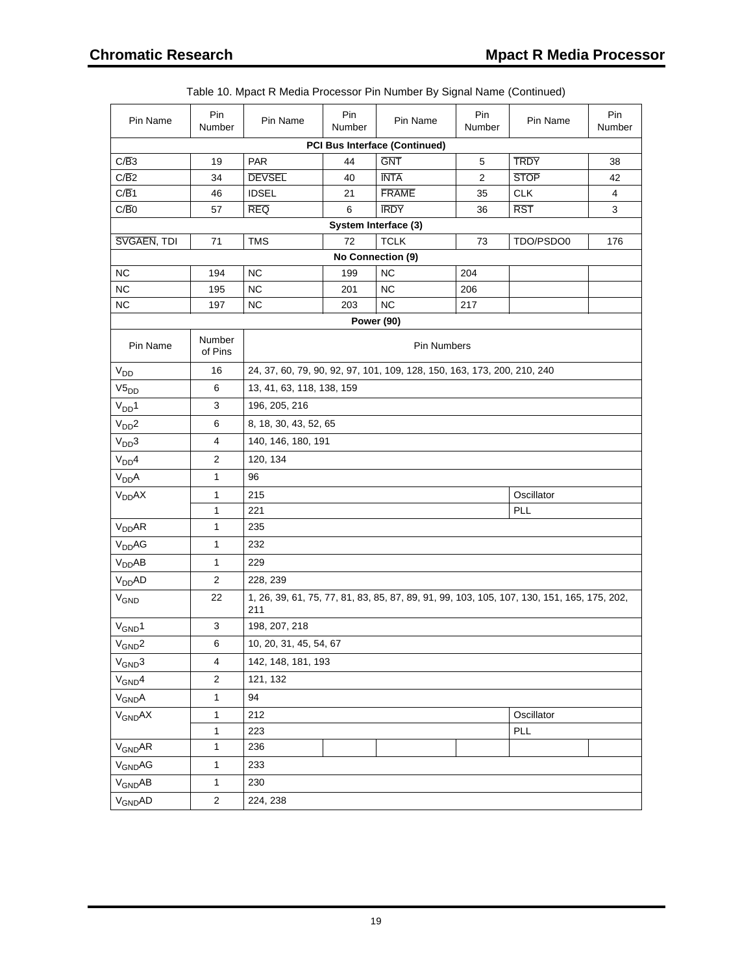| Pin Name            | Pin<br>Number           | Pin Name                  | Pin<br>Number | Pin Name                                                                | Pin<br>Number  | Pin Name                                                                                   | Pin<br>Number |
|---------------------|-------------------------|---------------------------|---------------|-------------------------------------------------------------------------|----------------|--------------------------------------------------------------------------------------------|---------------|
|                     |                         |                           |               | <b>PCI Bus Interface (Continued)</b>                                    |                |                                                                                            |               |
| C/B3                | 19                      | <b>PAR</b>                | 44            | <b>GNT</b>                                                              | 5              | <b>TRDY</b>                                                                                | 38            |
| C/B2                | 34                      | <b>DEVSEL</b>             | 40            | <b>INTA</b>                                                             | $\overline{2}$ | <b>STOP</b>                                                                                | 42            |
| C/B1                | 46                      | <b>IDSEL</b>              | 21            | <b>FRAME</b>                                                            | 35             | <b>CLK</b>                                                                                 | 4             |
| $C/\overline{B}0$   | 57                      | <b>REQ</b>                | 6             | <b>IRDY</b>                                                             | 36             | <b>RST</b>                                                                                 | 3             |
|                     |                         |                           |               | System Interface (3)                                                    |                |                                                                                            |               |
| SVGAEN, TDI         | 71                      | <b>TMS</b>                | 72            | <b>TCLK</b>                                                             | 73             | TDO/PSDO0                                                                                  | 176           |
|                     |                         |                           |               | No Connection (9)                                                       |                |                                                                                            |               |
| <b>NC</b>           | 194                     | <b>NC</b>                 | 199           | <b>NC</b>                                                               | 204            |                                                                                            |               |
| <b>NC</b>           | 195                     | <b>NC</b>                 | 201           | <b>NC</b>                                                               | 206            |                                                                                            |               |
| <b>NC</b>           | 197                     | NС                        | 203           | <b>NC</b>                                                               | 217            |                                                                                            |               |
|                     |                         |                           |               | <b>Power (90)</b>                                                       |                |                                                                                            |               |
| Pin Name            | Number<br>of Pins       |                           |               | Pin Numbers                                                             |                |                                                                                            |               |
| V <sub>DD</sub>     | 16                      |                           |               | 24, 37, 60, 79, 90, 92, 97, 101, 109, 128, 150, 163, 173, 200, 210, 240 |                |                                                                                            |               |
| $V5_{DD}$           | 6                       | 13, 41, 63, 118, 138, 159 |               |                                                                         |                |                                                                                            |               |
| $V_{DD}1$           | 3                       | 196, 205, 216             |               |                                                                         |                |                                                                                            |               |
| V <sub>DD</sub> 2   | 6                       | 8, 18, 30, 43, 52, 65     |               |                                                                         |                |                                                                                            |               |
| V <sub>DD</sub> 3   | 4                       | 140, 146, 180, 191        |               |                                                                         |                |                                                                                            |               |
| V <sub>DD</sub> 4   | 2                       | 120, 134                  |               |                                                                         |                |                                                                                            |               |
| V <sub>DD</sub> A   | 1                       | 96                        |               |                                                                         |                |                                                                                            |               |
| $V_{DD}AX$          | 1                       | 215                       |               |                                                                         |                | Oscillator                                                                                 |               |
|                     | 1                       | 221                       |               |                                                                         |                | PLL                                                                                        |               |
| $V_{DD}AR$          | 1                       | 235                       |               |                                                                         |                |                                                                                            |               |
| $V_{DD}AG$          | 1                       | 232                       |               |                                                                         |                |                                                                                            |               |
| V <sub>DD</sub> AB  | 1                       | 229                       |               |                                                                         |                |                                                                                            |               |
| V <sub>DD</sub> AD  | $\overline{2}$          | 228, 239                  |               |                                                                         |                |                                                                                            |               |
| $V_{GND}$           | 22                      | 211                       |               |                                                                         |                | 1, 26, 39, 61, 75, 77, 81, 83, 85, 87, 89, 91, 99, 103, 105, 107, 130, 151, 165, 175, 202, |               |
| $V_{GND}1$          | 3                       | 198, 207, 218             |               |                                                                         |                |                                                                                            |               |
| $V_{GND}$ 2         | 6                       | 10, 20, 31, 45, 54, 67    |               |                                                                         |                |                                                                                            |               |
| $V_{GND}3$          | 4                       | 142, 148, 181, 193        |               |                                                                         |                |                                                                                            |               |
| $V_{GND}4$          | $\overline{2}$          | 121, 132                  |               |                                                                         |                |                                                                                            |               |
| V <sub>GND</sub> A  | 1                       | 94                        |               |                                                                         |                |                                                                                            |               |
| $V_{GND}AX$         | 1                       | 212                       |               |                                                                         |                | Oscillator                                                                                 |               |
|                     | 1                       | 223                       |               |                                                                         |                | <b>PLL</b>                                                                                 |               |
| $V_{GND}AR$         | 1                       | 236                       |               |                                                                         |                |                                                                                            |               |
| V <sub>GND</sub> AG | 1                       | 233                       |               |                                                                         |                |                                                                                            |               |
| V <sub>GND</sub> AB | 1                       | 230                       |               |                                                                         |                |                                                                                            |               |
| V <sub>GND</sub> AD | $\overline{\mathbf{c}}$ | 224, 238                  |               |                                                                         |                |                                                                                            |               |

| Table 10. Mpact R Media Processor Pin Number By Signal Name (Continued) |  |
|-------------------------------------------------------------------------|--|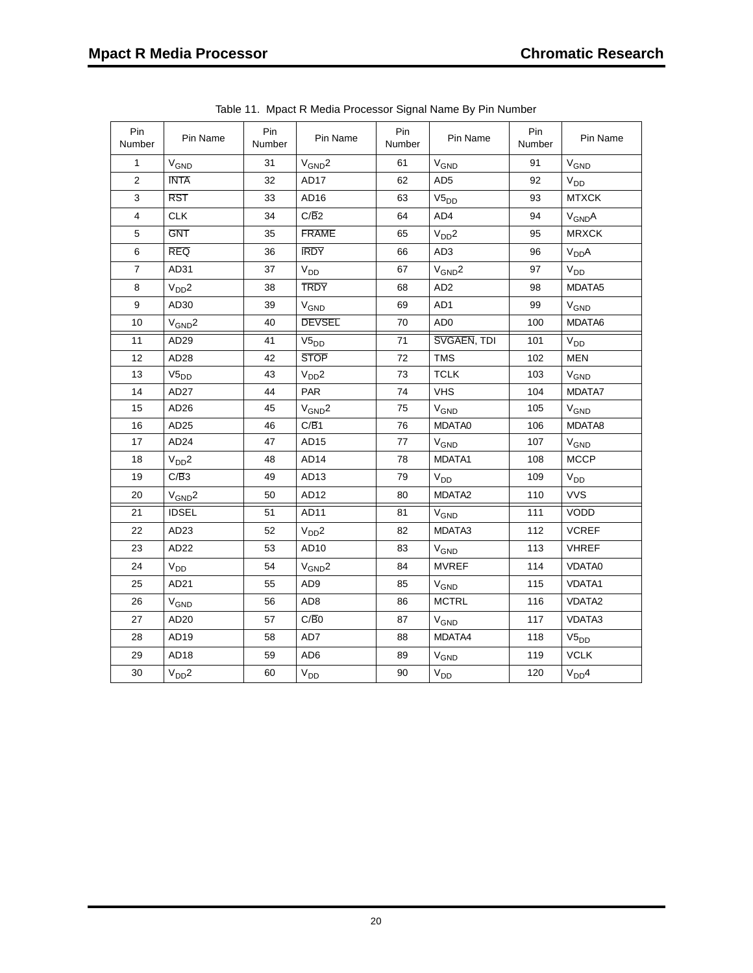| Pin<br>Number  | Pin Name          | Pin<br>Number | Pin Name          | Pin<br>Number | Pin Name               | Pin<br>Number | Pin Name               |
|----------------|-------------------|---------------|-------------------|---------------|------------------------|---------------|------------------------|
| 1              | V <sub>GND</sub>  | 31            | $V_{GND}$ 2       | 61            | V <sub>GND</sub>       | 91            | V <sub>GND</sub>       |
| $\mathbf{2}$   | <b>INTA</b>       | 32            | AD <sub>17</sub>  | 62            | AD <sub>5</sub>        | 92            | V <sub>DD</sub>        |
| 3              | <b>RST</b>        | 33            | AD <sub>16</sub>  | 63            | $V5_{DD}$              | 93            | <b>MTXCK</b>           |
| $\overline{4}$ | <b>CLK</b>        | 34            | C/B2              | 64            | AD4                    | 94            | $V_{GND}A$             |
| 5              | <b>GNT</b>        | 35            | <b>FRAME</b>      | 65            | V <sub>DD</sub> 2      | 95            | <b>MRXCK</b>           |
| 6              | <b>REQ</b>        | 36            | <b>IRDY</b>       | 66            | AD <sub>3</sub>        | 96            | V <sub>DD</sub> A      |
| $\overline{7}$ | AD31              | 37            | $\rm V_{DD}$      | 67            | $V_{GND}$ 2            | 97            | V <sub>DD</sub>        |
| 8              | V <sub>DD</sub> 2 | 38            | <b>TRDY</b>       | 68            | AD <sub>2</sub>        | 98            | MDATA5                 |
| $\mathsf g$    | AD30              | 39            | $V_{GND}$         | 69            | AD <sub>1</sub>        | 99            | <b>V<sub>GND</sub></b> |
| 10             | $V_{GND}2$        | 40            | <b>DEVSEL</b>     | 70            | AD <sub>0</sub>        | 100           | MDATA6                 |
| 11             | AD <sub>29</sub>  | 41            | $V5_{DD}$         | 71            | SVGAEN, TDI            | 101           | V <sub>DD</sub>        |
| 12             | AD28              | 42            | <b>STOP</b>       | 72            | <b>TMS</b>             | 102           | <b>MEN</b>             |
| 13             | $V5_{DD}$         | 43            | V <sub>DD</sub> 2 | 73            | <b>TCLK</b>            | 103           | V <sub>GND</sub>       |
| 14             | AD <sub>27</sub>  | 44            | PAR               | 74            | <b>VHS</b>             | 104           | MDATA7                 |
| 15             | AD <sub>26</sub>  | 45            | $V_{GND}$ 2       | 75            | $V_{GND}$              | 105           | $V_{GND}$              |
| 16             | AD <sub>25</sub>  | 46            | C/B1              | 76            | MDATA0                 | 106           | MDATA8                 |
| 17             | AD24              | 47            | AD15              | 77            | $V_{GND}$              | 107           | <b>V<sub>GND</sub></b> |
| 18             | V <sub>DD</sub> 2 | 48            | AD <sub>14</sub>  | 78            | MDATA1                 | 108           | <b>MCCP</b>            |
| 19             | C/B3              | 49            | AD <sub>13</sub>  | 79            | V <sub>DD</sub>        | 109           | V <sub>DD</sub>        |
| 20             | $V_{GND}2$        | 50            | AD12              | 80            | MDATA2                 | 110           | <b>VVS</b>             |
| 21             | <b>IDSEL</b>      | 51            | AD11              | 81            | V <sub>GND</sub>       | 111           | <b>VODD</b>            |
| 22             | AD23              | 52            | V <sub>DD</sub> 2 | 82            | MDATA3                 | 112           | <b>VCREF</b>           |
| 23             | AD <sub>22</sub>  | 53            | AD <sub>10</sub>  | 83            | V <sub>GND</sub>       | 113           | <b>VHREF</b>           |
| 24             | V <sub>DD</sub>   | 54            | $V_{GND}$ 2       | 84            | <b>MVREF</b>           | 114           | VDATA0                 |
| 25             | AD <sub>21</sub>  | 55            | AD <sub>9</sub>   | 85            | V <sub>GND</sub>       | 115           | <b>VDATA1</b>          |
| 26             | $V_{GND}$         | 56            | AD <sub>8</sub>   | 86            | <b>MCTRL</b>           | 116           | VDATA2                 |
| 27             | AD <sub>20</sub>  | 57            | C/B0              | 87            | <b>V<sub>GND</sub></b> | 117           | VDATA3                 |
| 28             | AD19              | 58            | AD7               | 88            | MDATA4                 | 118           | $V5_{DD}$              |
| 29             | AD <sub>18</sub>  | 59            | AD <sub>6</sub>   | 89            | V <sub>GND</sub>       | 119           | <b>VCLK</b>            |
| 30             | V <sub>DD</sub> 2 | 60            | V <sub>DD</sub>   | 90            | <b>V<sub>DD</sub></b>  | 120           | V <sub>DD</sub> 4      |

Table 11. Mpact R Media Processor Signal Name By Pin Number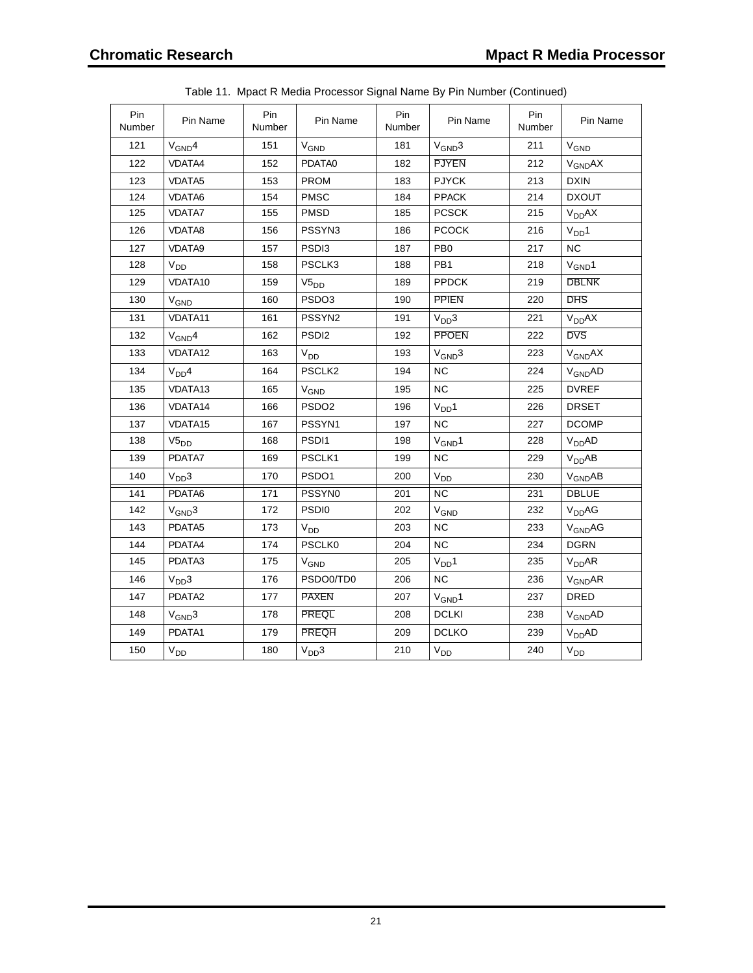| Pin<br>Number | Pin Name          | Pin<br>Number | Pin Name          | Pin<br>Number | Pin Name              | Pin<br>Number | Pin Name                 |
|---------------|-------------------|---------------|-------------------|---------------|-----------------------|---------------|--------------------------|
| 121           | $V_{GND}4$        | 151           | $V_{GND}$         | 181           | $V_{GND}3$            | 211           | $V_{GND}$                |
| 122           | <b>VDATA4</b>     | 152           | PDATA0            | 182           | <b>PJYEN</b>          | 212           | <b>V<sub>GND</sub>AX</b> |
| 123           | VDATA5            | 153           | <b>PROM</b>       | 183           | <b>PJYCK</b>          | 213           | <b>DXIN</b>              |
| 124           | <b>VDATA6</b>     | 154           | <b>PMSC</b>       | 184           | <b>PPACK</b>          | 214           | <b>DXOUT</b>             |
| 125           | <b>VDATA7</b>     | 155           | <b>PMSD</b>       | 185           | <b>PCSCK</b>          | 215           | $V_{DD}AX$               |
| 126           | VDATA8            | 156           | PSSYN3            | 186           | <b>PCOCK</b>          | 216           | V <sub>DD</sub> 1        |
| 127           | VDATA9            | 157           | PSDI3             | 187           | PB <sub>0</sub>       | 217           | NC                       |
| 128           | V <sub>DD</sub>   | 158           | PSCLK3            | 188           | PB <sub>1</sub>       | 218           | $V_{GND}1$               |
| 129           | VDATA10           | 159           | $V5_{DD}$         | 189           | <b>PPDCK</b>          | 219           | <b>DBLNK</b>             |
| 130           | $V_{GND}$         | 160           | PSDO3             | 190           | <b>PPIEN</b>          | 220           | <b>DHS</b>               |
| 131           | VDATA11           | 161           | PSSYN2            | 191           | V <sub>DD</sub> 3     | 221           | $V_{DD}AX$               |
| 132           | $V_{GND}4$        | 162           | PSD <sub>12</sub> | 192           | <b>PPOEN</b>          | 222           | <b>DVS</b>               |
| 133           | VDATA12           | 163           | $V_{DD}$          | 193           | $V_{GND}3$            | 223           | V <sub>GND</sub> AX      |
| 134           | V <sub>DD</sub> 4 | 164           | PSCLK2            | 194           | <b>NC</b>             | 224           | V <sub>GND</sub> AD      |
| 135           | VDATA13           | 165           | V <sub>GND</sub>  | 195           | <b>NC</b>             | 225           | <b>DVREF</b>             |
| 136           | VDATA14           | 166           | PSDO <sub>2</sub> | 196           | V <sub>DD</sub> 1     | 226           | <b>DRSET</b>             |
| 137           | VDATA15           | 167           | PSSYN1            | 197           | <b>NC</b>             | 227           | <b>DCOMP</b>             |
| 138           | $V5_{DD}$         | 168           | PSDI <sub>1</sub> | 198           | $V_{GND}1$            | 228           | $V_{DD}AD$               |
| 139           | PDATA7            | 169           | PSCLK1            | 199           | <b>NC</b>             | 229           | V <sub>DD</sub> AB       |
| 140           | V <sub>DD</sub> 3 | 170           | PSDO <sub>1</sub> | 200           | V <sub>DD</sub>       | 230           | V <sub>GND</sub> AB      |
| 141           | PDATA6            | 171           | PSSYN0            | 201           | <b>NC</b>             | 231           | <b>DBLUE</b>             |
| 142           | $V_{GND}3$        | 172           | PSD <sub>I0</sub> | 202           | V <sub>GND</sub>      | 232           | V <sub>DD</sub> AG       |
| 143           | PDATA5            | 173           | V <sub>DD</sub>   | 203           | <b>NC</b>             | 233           | $V_{GND}AG$              |
| 144           | PDATA4            | 174           | <b>PSCLK0</b>     | 204           | <b>NC</b>             | 234           | DGRN                     |
| 145           | PDATA3            | 175           | V <sub>GND</sub>  | 205           | V <sub>DD</sub> 1     | 235           | V <sub>DD</sub> AR       |
| 146           | V <sub>DD</sub> 3 | 176           | PSDO0/TD0         | 206           | <b>NC</b>             | 236           | V <sub>GND</sub> AR      |
| 147           | PDATA2            | 177           | <b>PAXEN</b>      | 207           | $V_{GND}1$            | 237           | <b>DRED</b>              |
| 148           | $V_{GND}3$        | 178           | <b>PREQL</b>      | 208           | <b>DCLKI</b>          | 238           | V <sub>GND</sub> AD      |
| 149           | PDATA1            | 179           | <b>PREQH</b>      | 209           | <b>DCLKO</b>          | 239           | V <sub>DD</sub> AD       |
| 150           | $V_{DD}$          | 180           | V <sub>DD</sub> 3 | 210           | <b>V<sub>DD</sub></b> | 240           | V <sub>DD</sub>          |

|  |  | Table 11. Mpact R Media Processor Signal Name By Pin Number (Continued) |  |  |
|--|--|-------------------------------------------------------------------------|--|--|
|  |  |                                                                         |  |  |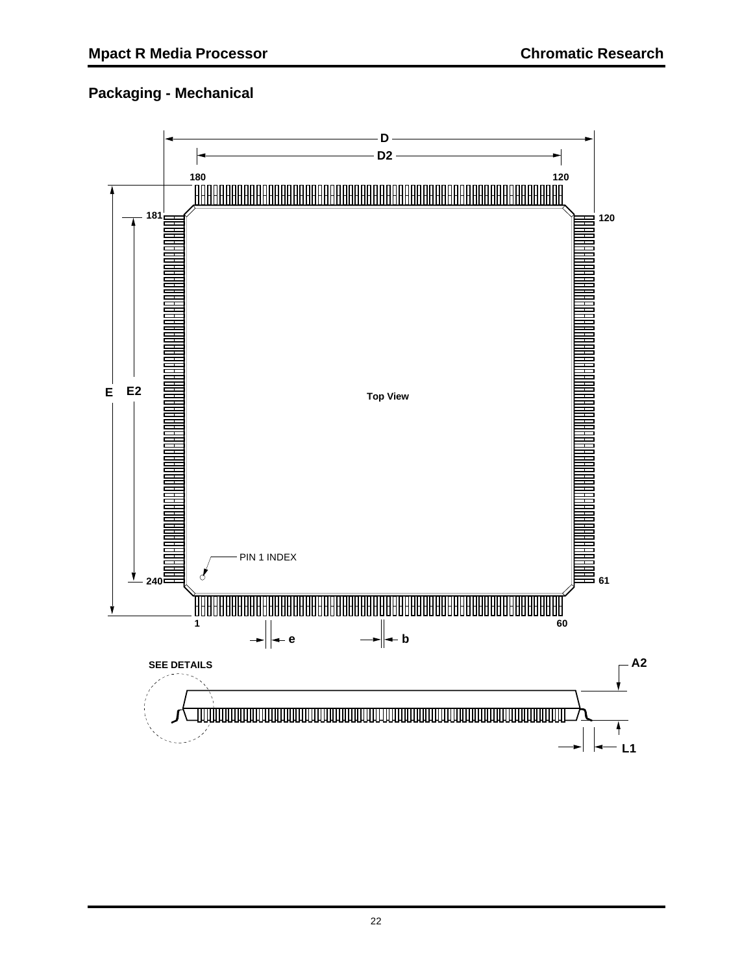## **Packaging - Mechanical**

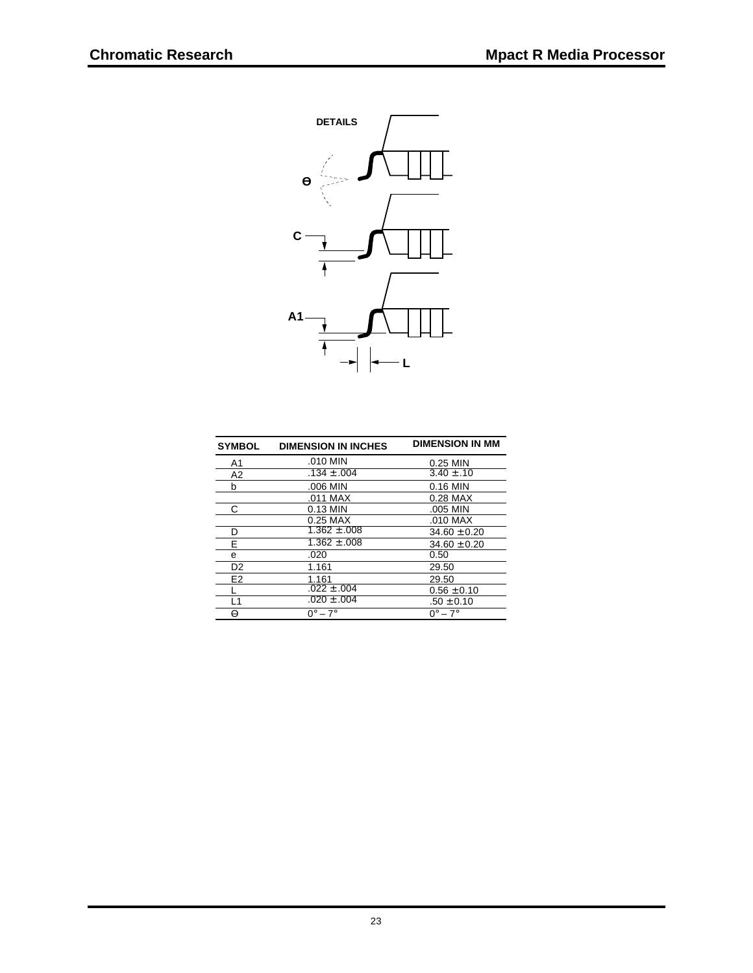

| <b>SYMBOL</b>  | <b>DIMENSION IN INCHES</b> | <b>DIMENSION IN MM</b> |
|----------------|----------------------------|------------------------|
| A1             | $.010$ MIN                 | $0.25$ MIN             |
| A2             | $.134\pm.004$              | $3.40 \pm .10$         |
| b              | .006 MIN                   | 0.16 MIN               |
|                | $.011$ MAX                 | 0.28 MAX               |
| С              | $0.13$ MIN                 | .005 MIN               |
|                | $0.25$ MAX                 | .010 MAX               |
| D              | $1.362 \pm .008$           | $34.60 \pm 0.20$       |
| E              | $1.362 \pm .008$           | $34.60 \pm 0.20$       |
| e              | .020                       | 0.50                   |
| D <sub>2</sub> | 1.161                      | 29.50                  |
| E <sub>2</sub> | 1.161                      | 29.50                  |
|                | $.022 \pm .004$            | $0.56 \pm 0.10$        |
| L1             | $.020\pm .004$             | $.50 \pm 0.10$         |
| Θ              | $0^\circ - 7^\circ$        | $0^\circ - 7^\circ$    |